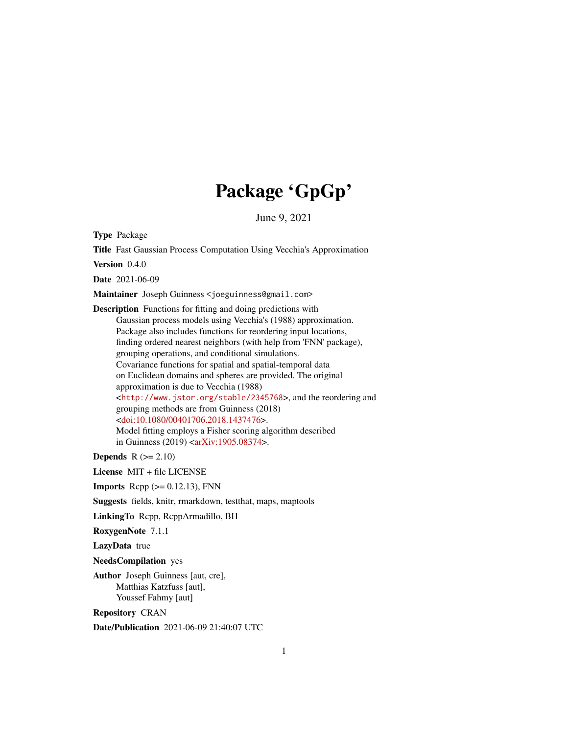# Package 'GpGp'

June 9, 2021

Type Package

Title Fast Gaussian Process Computation Using Vecchia's Approximation

Version 0.4.0

Date 2021-06-09

Maintainer Joseph Guinness <joeguinness@gmail.com>

Description Functions for fitting and doing predictions with Gaussian process models using Vecchia's (1988) approximation. Package also includes functions for reordering input locations, finding ordered nearest neighbors (with help from 'FNN' package), grouping operations, and conditional simulations. Covariance functions for spatial and spatial-temporal data on Euclidean domains and spheres are provided. The original approximation is due to Vecchia (1988) <<http://www.jstor.org/stable/2345768>>, and the reordering and grouping methods are from Guinness (2018) [<doi:10.1080/00401706.2018.1437476>](https://doi.org/10.1080/00401706.2018.1437476). Model fitting employs a Fisher scoring algorithm described in Guinness (2019) [<arXiv:1905.08374>](https://arxiv.org/abs/1905.08374).

**Depends**  $R$  ( $>= 2.10$ )

License MIT + file LICENSE

**Imports** Rcpp  $(>= 0.12.13)$ , FNN

Suggests fields, knitr, rmarkdown, testthat, maps, maptools

LinkingTo Rcpp, RcppArmadillo, BH

RoxygenNote 7.1.1

LazyData true

NeedsCompilation yes

Author Joseph Guinness [aut, cre], Matthias Katzfuss [aut], Youssef Fahmy [aut]

Repository CRAN

Date/Publication 2021-06-09 21:40:07 UTC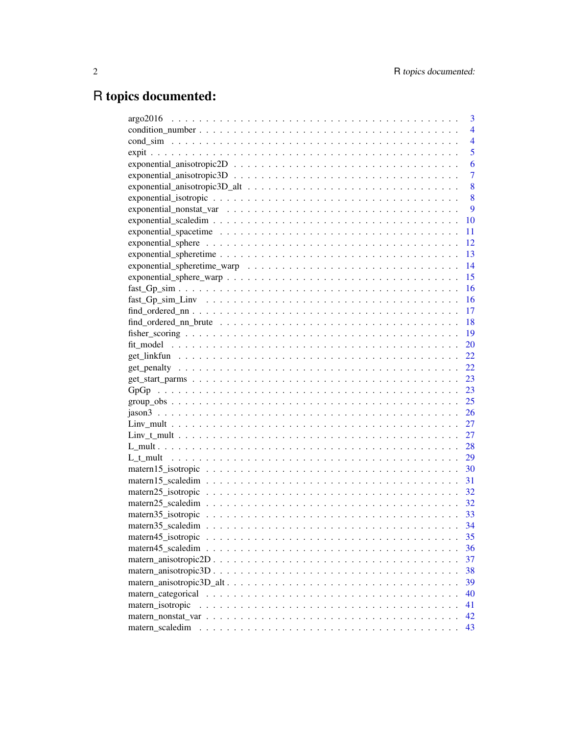# R topics documented:

|                                                                                                                    | 3              |
|--------------------------------------------------------------------------------------------------------------------|----------------|
|                                                                                                                    | $\overline{4}$ |
|                                                                                                                    | $\overline{4}$ |
|                                                                                                                    | 5              |
|                                                                                                                    | 6              |
| $exponential\_anisotropic 3D \ldots \ldots \ldots \ldots \ldots \ldots \ldots \ldots \ldots \ldots$                | 7              |
|                                                                                                                    | 8              |
|                                                                                                                    | 8              |
|                                                                                                                    | 9              |
|                                                                                                                    | 10             |
| exponential_spacetime $\ldots \ldots \ldots \ldots \ldots \ldots \ldots \ldots \ldots \ldots \ldots \ldots \ldots$ | 11             |
|                                                                                                                    | 12             |
|                                                                                                                    | 13             |
|                                                                                                                    | 14             |
|                                                                                                                    | 15             |
|                                                                                                                    | 16             |
|                                                                                                                    | 16             |
|                                                                                                                    | 17             |
|                                                                                                                    | 18             |
|                                                                                                                    | 19             |
|                                                                                                                    | 20             |
|                                                                                                                    | 22             |
|                                                                                                                    | 22             |
|                                                                                                                    | 23             |
|                                                                                                                    | 23             |
|                                                                                                                    | 25             |
|                                                                                                                    | 26             |
|                                                                                                                    | 27             |
|                                                                                                                    | 27             |
|                                                                                                                    | 28             |
|                                                                                                                    | 29             |
|                                                                                                                    | 30             |
|                                                                                                                    | 31             |
|                                                                                                                    | 32             |
|                                                                                                                    | 32             |
|                                                                                                                    |                |
|                                                                                                                    | 34             |
| matern45_isotropic                                                                                                 | 35             |
|                                                                                                                    | 36             |
|                                                                                                                    | 37             |
|                                                                                                                    | 38             |
|                                                                                                                    | 39             |
|                                                                                                                    | 40             |
| matern_isotropic                                                                                                   | 41             |
|                                                                                                                    | 42             |
| matern scaledim                                                                                                    | 43             |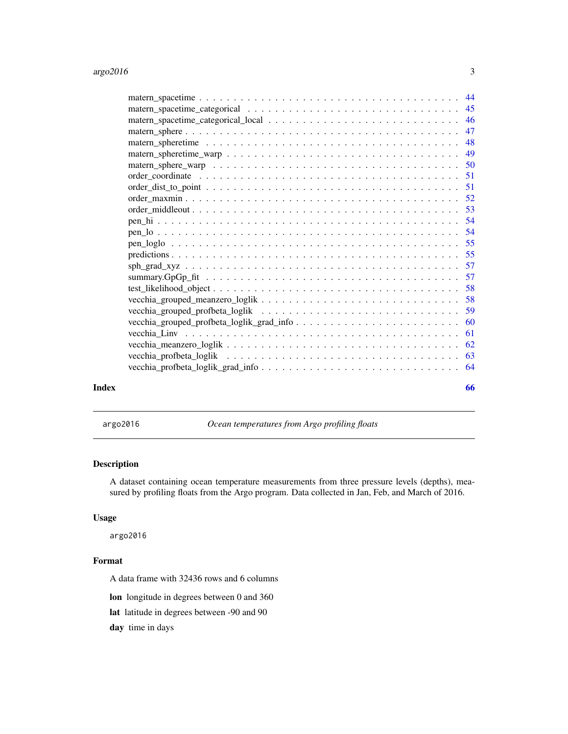<span id="page-2-0"></span>

| Index | 66 |
|-------|----|

argo2016 *Ocean temperatures from Argo profiling floats*

### Description

A dataset containing ocean temperature measurements from three pressure levels (depths), measured by profiling floats from the Argo program. Data collected in Jan, Feb, and March of 2016.

### Usage

argo2016

### Format

A data frame with 32436 rows and 6 columns

lon longitude in degrees between 0 and 360

lat latitude in degrees between -90 and 90

day time in days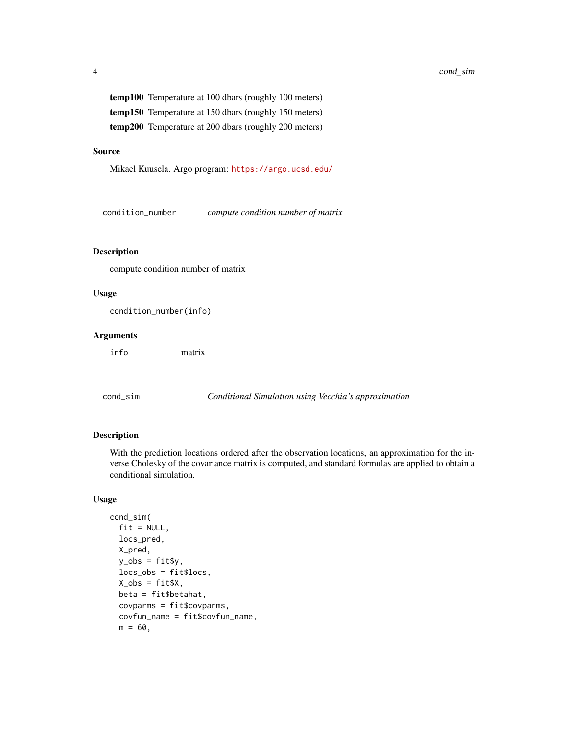<span id="page-3-0"></span>temp100 Temperature at 100 dbars (roughly 100 meters) temp150 Temperature at 150 dbars (roughly 150 meters) temp200 Temperature at 200 dbars (roughly 200 meters)

### Source

Mikael Kuusela. Argo program: <https://argo.ucsd.edu/>

condition\_number *compute condition number of matrix*

#### Description

compute condition number of matrix

#### Usage

condition\_number(info)

### Arguments

info matrix

cond\_sim *Conditional Simulation using Vecchia's approximation*

#### Description

With the prediction locations ordered after the observation locations, an approximation for the inverse Cholesky of the covariance matrix is computed, and standard formulas are applied to obtain a conditional simulation.

#### Usage

```
cond_sim(
  fit = NULL,locs_pred,
 X_pred,
 y_obs = fitsy,locs_obs = fit$locs,
 X_obs = fitsX,beta = fit$betahat,
  covparms = fit$covparms,
  covfun_name = fit$covfun_name,
 m = 60,
```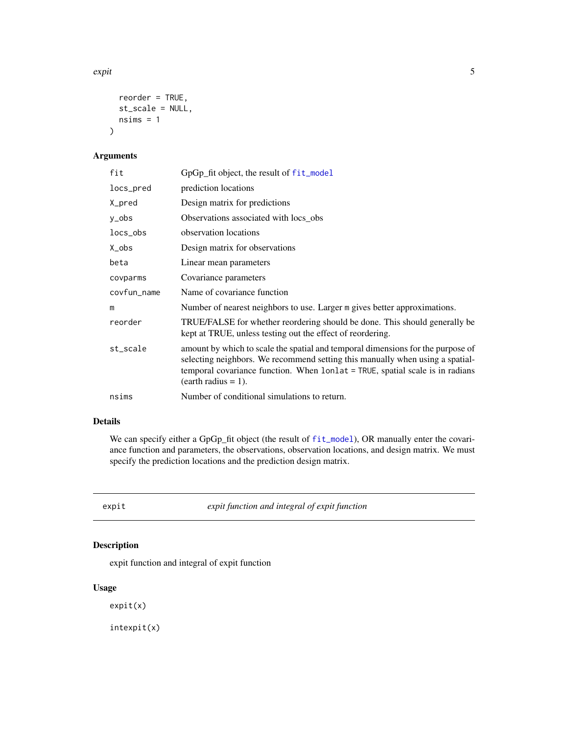#### <span id="page-4-0"></span>expit 5

```
reorder = TRUE,
  st_scale = NULL,
  nsims = 1\mathcal{L}
```
### Arguments

| fit         | GpGp_fit object, the result of fit_model                                                                                                                                                                                                                                   |
|-------------|----------------------------------------------------------------------------------------------------------------------------------------------------------------------------------------------------------------------------------------------------------------------------|
| locs_pred   | prediction locations                                                                                                                                                                                                                                                       |
| X_pred      | Design matrix for predictions                                                                                                                                                                                                                                              |
| y_obs       | Observations associated with locs_obs                                                                                                                                                                                                                                      |
| locs_obs    | observation locations                                                                                                                                                                                                                                                      |
| X_obs       | Design matrix for observations                                                                                                                                                                                                                                             |
| beta        | Linear mean parameters                                                                                                                                                                                                                                                     |
| covparms    | Covariance parameters                                                                                                                                                                                                                                                      |
| covfun_name | Name of covariance function                                                                                                                                                                                                                                                |
| m           | Number of nearest neighbors to use. Larger m gives better approximations.                                                                                                                                                                                                  |
| reorder     | TRUE/FALSE for whether reordering should be done. This should generally be<br>kept at TRUE, unless testing out the effect of reordering.                                                                                                                                   |
| st_scale    | amount by which to scale the spatial and temporal dimensions for the purpose of<br>selecting neighbors. We recommend setting this manually when using a spatial-<br>temporal covariance function. When lonlat = TRUE, spatial scale is in radians<br>$(earth radius = 1).$ |
| nsims       | Number of conditional simulations to return.                                                                                                                                                                                                                               |

### Details

We can specify either a GpGp\_fit object (the result of [fit\\_model](#page-19-1)), OR manually enter the covariance function and parameters, the observations, observation locations, and design matrix. We must specify the prediction locations and the prediction design matrix.

expit *expit function and integral of expit function*

### Description

expit function and integral of expit function

### Usage

expit(x)

intexpit(x)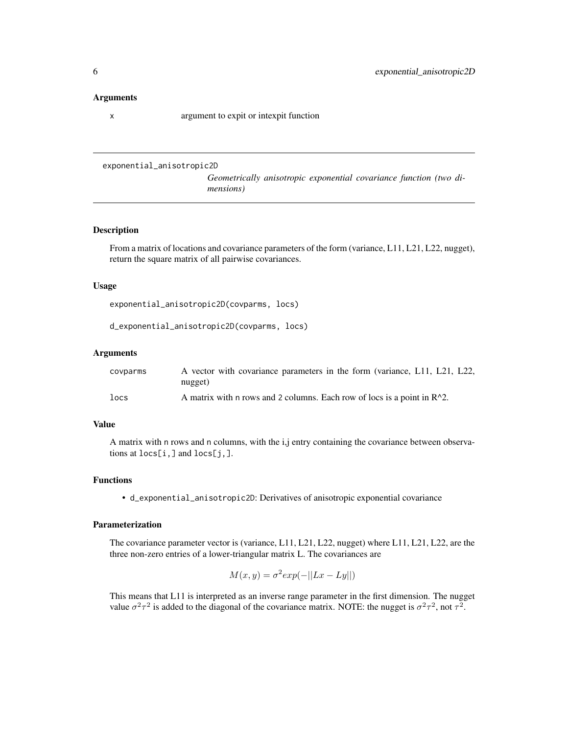#### <span id="page-5-0"></span>Arguments

x argument to expit or intexpit function

```
exponential_anisotropic2D
```
*Geometrically anisotropic exponential covariance function (two dimensions)*

### Description

From a matrix of locations and covariance parameters of the form (variance, L11, L21, L22, nugget), return the square matrix of all pairwise covariances.

#### Usage

exponential\_anisotropic2D(covparms, locs)

d\_exponential\_anisotropic2D(covparms, locs)

### Arguments

| covparms | A vector with covariance parameters in the form (variance, L11, L21, L22,  |
|----------|----------------------------------------------------------------------------|
|          | nugget)                                                                    |
| locs     | A matrix with n rows and 2 columns. Each row of locs is a point in $R^2$ . |

### Value

A matrix with n rows and n columns, with the i,j entry containing the covariance between observations at locs[i,] and locs[j,].

### Functions

• d\_exponential\_anisotropic2D: Derivatives of anisotropic exponential covariance

### Parameterization

The covariance parameter vector is (variance, L11, L21, L22, nugget) where L11, L21, L22, are the three non-zero entries of a lower-triangular matrix L. The covariances are

$$
M(x, y) = \sigma^2 \exp(-||Lx - Ly||)
$$

This means that L11 is interpreted as an inverse range parameter in the first dimension. The nugget value  $\sigma^2 \tau^2$  is added to the diagonal of the covariance matrix. NOTE: the nugget is  $\sigma^2 \tau^2$ , not  $\tau^2$ .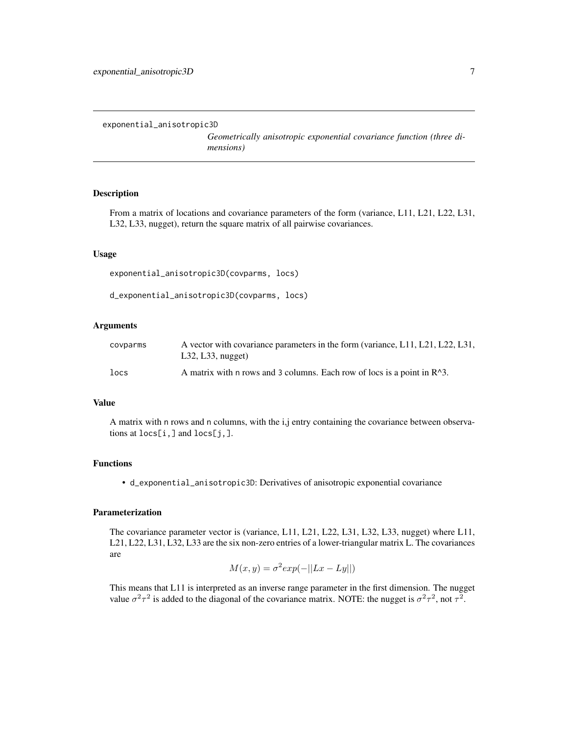```
exponential_anisotropic3D
```
*Geometrically anisotropic exponential covariance function (three dimensions)*

### Description

From a matrix of locations and covariance parameters of the form (variance, L11, L21, L22, L31, L32, L33, nugget), return the square matrix of all pairwise covariances.

#### Usage

exponential\_anisotropic3D(covparms, locs)

d\_exponential\_anisotropic3D(covparms, locs)

### Arguments

| covparms | A vector with covariance parameters in the form (variance, L11, L21, L22, L31,<br>L32, L33, nugeet) |
|----------|-----------------------------------------------------------------------------------------------------|
| locs     | A matrix with n rows and 3 columns. Each row of locs is a point in $R^3$ .                          |

### Value

A matrix with n rows and n columns, with the i,j entry containing the covariance between observations at locs[i,] and locs[j,].

### Functions

• d\_exponential\_anisotropic3D: Derivatives of anisotropic exponential covariance

#### Parameterization

The covariance parameter vector is (variance, L11, L21, L22, L31, L32, L33, nugget) where L11, L21, L22, L31, L32, L33 are the six non-zero entries of a lower-triangular matrix L. The covariances are

$$
M(x, y) = \sigma^2 \exp(-||Lx - Ly||)
$$

This means that L11 is interpreted as an inverse range parameter in the first dimension. The nugget value  $\sigma^2 \tau^2$  is added to the diagonal of the covariance matrix. NOTE: the nugget is  $\sigma^2 \tau^2$ , not  $\tau^2$ .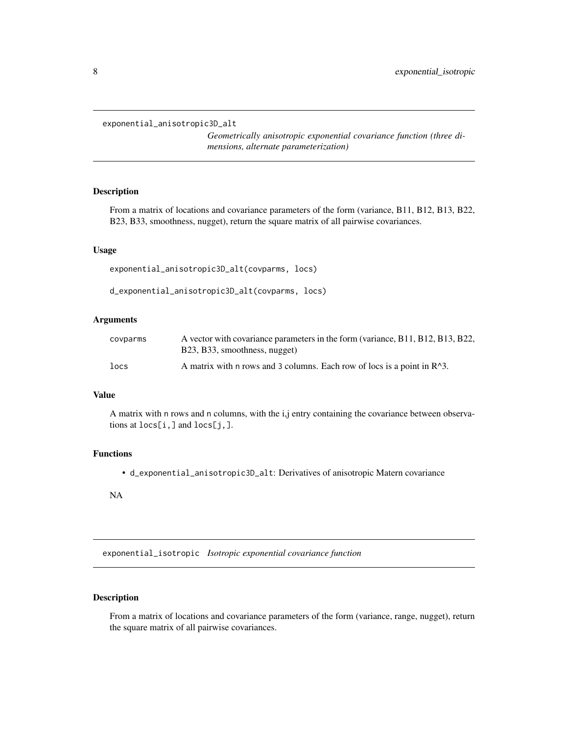<span id="page-7-0"></span>exponential\_anisotropic3D\_alt

*Geometrically anisotropic exponential covariance function (three dimensions, alternate parameterization)*

### Description

From a matrix of locations and covariance parameters of the form (variance, B11, B12, B13, B22, B23, B33, smoothness, nugget), return the square matrix of all pairwise covariances.

### Usage

exponential\_anisotropic3D\_alt(covparms, locs)

d\_exponential\_anisotropic3D\_alt(covparms, locs)

### Arguments

| covparms | A vector with covariance parameters in the form (variance, B11, B12, B13, B22,<br>B23, B33, smoothness, nugget) |
|----------|-----------------------------------------------------------------------------------------------------------------|
| locs     | A matrix with n rows and 3 columns. Each row of locs is a point in R <sup>^3</sup> .                            |

#### Value

A matrix with n rows and n columns, with the i,j entry containing the covariance between observations at locs[i,] and locs[j,].

### Functions

• d\_exponential\_anisotropic3D\_alt: Derivatives of anisotropic Matern covariance

NA

<span id="page-7-1"></span>exponential\_isotropic *Isotropic exponential covariance function*

### Description

From a matrix of locations and covariance parameters of the form (variance, range, nugget), return the square matrix of all pairwise covariances.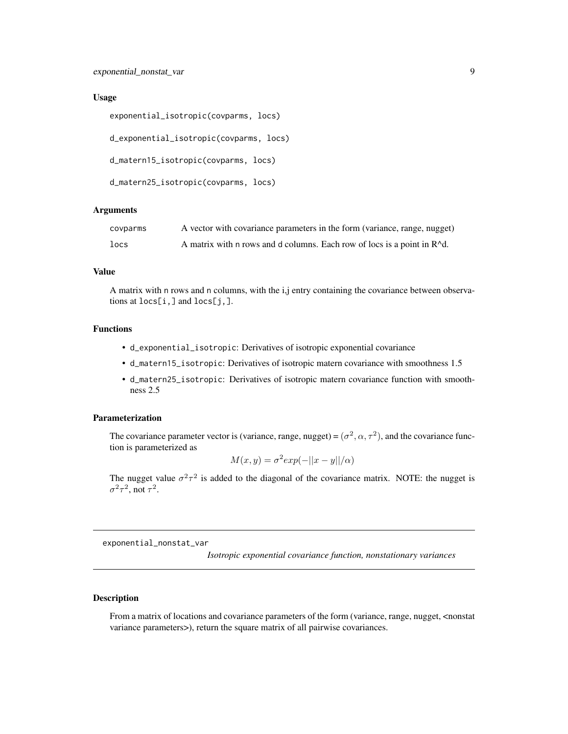```
exponential_isotropic(covparms, locs)
```
d\_exponential\_isotropic(covparms, locs)

d\_matern15\_isotropic(covparms, locs)

d\_matern25\_isotropic(covparms, locs)

#### **Arguments**

| covparms | A vector with covariance parameters in the form (variance, range, nugget)          |
|----------|------------------------------------------------------------------------------------|
| locs     | A matrix with n rows and d columns. Each row of locs is a point in $R^{\wedge}d$ . |

#### Value

A matrix with n rows and n columns, with the i,j entry containing the covariance between observations at locs[i,] and locs[j,].

### Functions

- d\_exponential\_isotropic: Derivatives of isotropic exponential covariance
- d\_matern15\_isotropic: Derivatives of isotropic matern covariance with smoothness 1.5
- d\_matern25\_isotropic: Derivatives of isotropic matern covariance function with smoothness 2.5

### Parameterization

The covariance parameter vector is (variance, range, nugget) =  $(\sigma^2, \alpha, \tau^2)$ , and the covariance function is parameterized as

$$
M(x, y) = \sigma^2 \exp(-||x - y||/\alpha)
$$

The nugget value  $\sigma^2 \tau^2$  is added to the diagonal of the covariance matrix. NOTE: the nugget is  $\sigma^2 \tau^2$ , not  $\tau^2$ .

<span id="page-8-1"></span>exponential\_nonstat\_var

*Isotropic exponential covariance function, nonstationary variances*

### Description

From a matrix of locations and covariance parameters of the form (variance, range, nugget, <nonstat variance parameters>), return the square matrix of all pairwise covariances.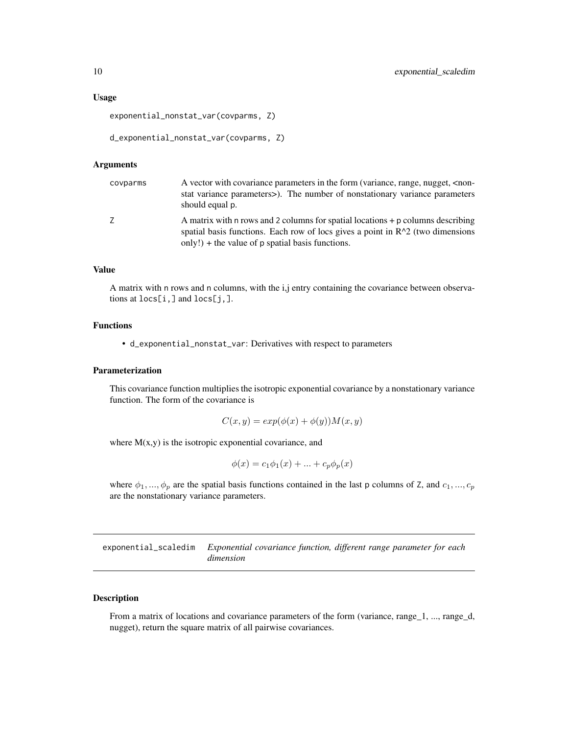<span id="page-9-0"></span>exponential\_nonstat\_var(covparms, Z)

```
d_exponential_nonstat_var(covparms, Z)
```
### Arguments

| covparms | A vector with covariance parameters in the form (variance, range, nugget, <non-<br>stat variance parameters&gt;). The number of nonstationary variance parameters<br/>should equal p.</non-<br>                             |
|----------|-----------------------------------------------------------------------------------------------------------------------------------------------------------------------------------------------------------------------------|
| Z        | A matrix with n rows and 2 columns for spatial locations $+ p$ columns describing<br>spatial basis functions. Each row of locs gives a point in $R^2$ (two dimensions<br>only!) + the value of $p$ spatial basis functions. |

### Value

A matrix with n rows and n columns, with the i,j entry containing the covariance between observations at locs[i,] and locs[j,].

### Functions

• d\_exponential\_nonstat\_var: Derivatives with respect to parameters

#### Parameterization

This covariance function multiplies the isotropic exponential covariance by a nonstationary variance function. The form of the covariance is

$$
C(x, y) = exp(\phi(x) + \phi(y))M(x, y)
$$

where  $M(x,y)$  is the isotropic exponential covariance, and

$$
\phi(x) = c_1 \phi_1(x) + \dots + c_p \phi_p(x)
$$

where  $\phi_1, ..., \phi_p$  are the spatial basis functions contained in the last p columns of Z, and  $c_1, ..., c_p$ are the nonstationary variance parameters.

<span id="page-9-1"></span>exponential\_scaledim *Exponential covariance function, different range parameter for each dimension*

### Description

From a matrix of locations and covariance parameters of the form (variance, range\_1, ..., range\_d, nugget), return the square matrix of all pairwise covariances.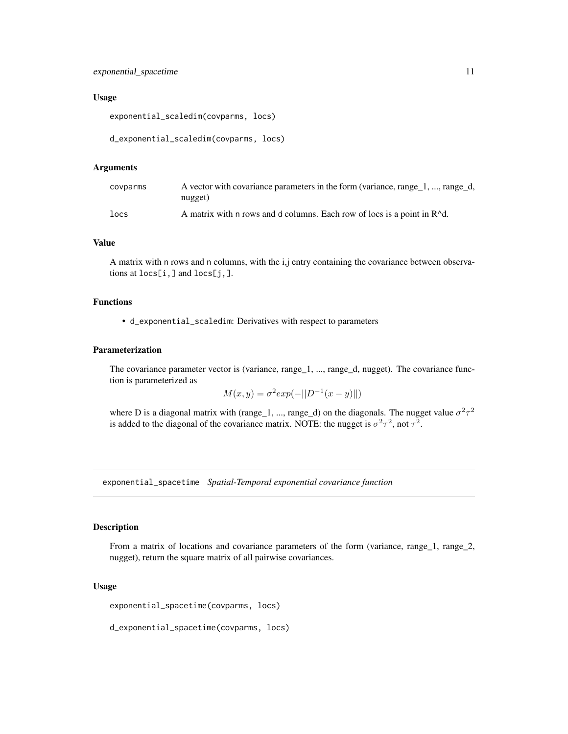```
exponential_scaledim(covparms, locs)
```

```
d_exponential_scaledim(covparms, locs)
```
### Arguments

| covparms | A vector with covariance parameters in the form (variance, range 1, , range d,<br>nugget) |
|----------|-------------------------------------------------------------------------------------------|
| locs     | A matrix with n rows and d columns. Each row of locs is a point in R <sup>^d</sup> .      |

### Value

A matrix with n rows and n columns, with the i,j entry containing the covariance between observations at locs[i,] and locs[j,].

### Functions

• d\_exponential\_scaledim: Derivatives with respect to parameters

#### Parameterization

The covariance parameter vector is (variance, range\_1, ..., range\_d, nugget). The covariance function is parameterized as

$$
M(x, y) = \sigma^2 \exp(-||D^{-1}(x - y)||)
$$

where D is a diagonal matrix with (range 1, ..., range 1) on the diagonals. The nugget value  $\sigma^2 \tau^2$ is added to the diagonal of the covariance matrix. NOTE: the nugget is  $\sigma^2 \tau^2$ , not  $\tau^2$ .

<span id="page-10-1"></span>exponential\_spacetime *Spatial-Temporal exponential covariance function*

#### Description

From a matrix of locations and covariance parameters of the form (variance, range\_1, range\_2, nugget), return the square matrix of all pairwise covariances.

#### Usage

exponential\_spacetime(covparms, locs)

d\_exponential\_spacetime(covparms, locs)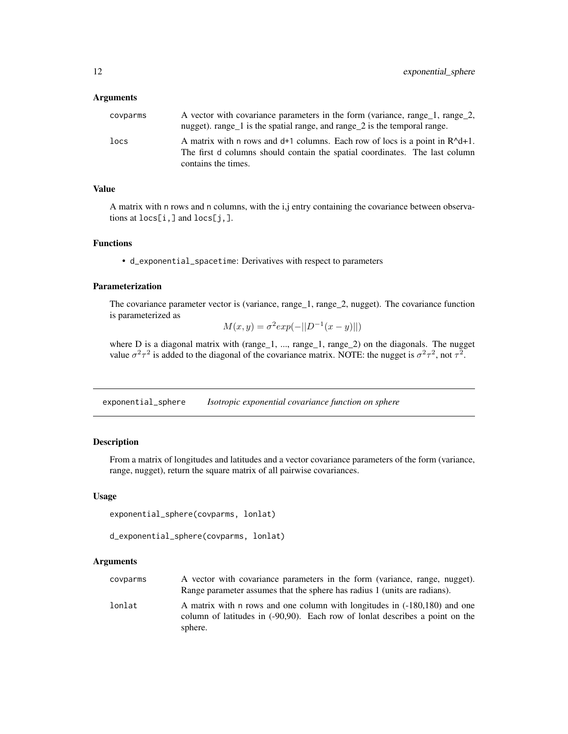#### <span id="page-11-0"></span>**Arguments**

| covparms | A vector with covariance parameters in the form (variance, range_1, range_2,<br>nugget). range_1 is the spatial range, and range_2 is the temporal range.                              |
|----------|----------------------------------------------------------------------------------------------------------------------------------------------------------------------------------------|
| locs     | A matrix with n rows and $d+1$ columns. Each row of locs is a point in $R^d+1$ .<br>The first d columns should contain the spatial coordinates. The last column<br>contains the times. |

### Value

A matrix with n rows and n columns, with the i,j entry containing the covariance between observations at locs[i,] and locs[j,].

### Functions

• d\_exponential\_spacetime: Derivatives with respect to parameters

### Parameterization

The covariance parameter vector is (variance, range\_1, range\_2, nugget). The covariance function is parameterized as

$$
M(x, y) = \sigma^2 \exp(-||D^{-1}(x - y)||)
$$

where D is a diagonal matrix with (range $-1$ , ..., range $-1$ , range $-2$ ) on the diagonals. The nugget value  $\sigma^2 \tau^2$  is added to the diagonal of the covariance matrix. NOTE: the nugget is  $\sigma^2 \tau^2$ , not  $\tau^2$ .

<span id="page-11-1"></span>exponential\_sphere *Isotropic exponential covariance function on sphere*

### Description

From a matrix of longitudes and latitudes and a vector covariance parameters of the form (variance, range, nugget), return the square matrix of all pairwise covariances.

#### Usage

```
exponential_sphere(covparms, lonlat)
```

```
d_exponential_sphere(covparms, lonlat)
```

| covparms | A vector with covariance parameters in the form (variance, range, nugget).                                                                                |
|----------|-----------------------------------------------------------------------------------------------------------------------------------------------------------|
|          | Range parameter assumes that the sphere has radius 1 (units are radians).                                                                                 |
| lonlat   | A matrix with n rows and one column with longitudes in (-180,180) and one<br>column of latitudes in (-90,90). Each row of lonlat describes a point on the |
|          | sphere.                                                                                                                                                   |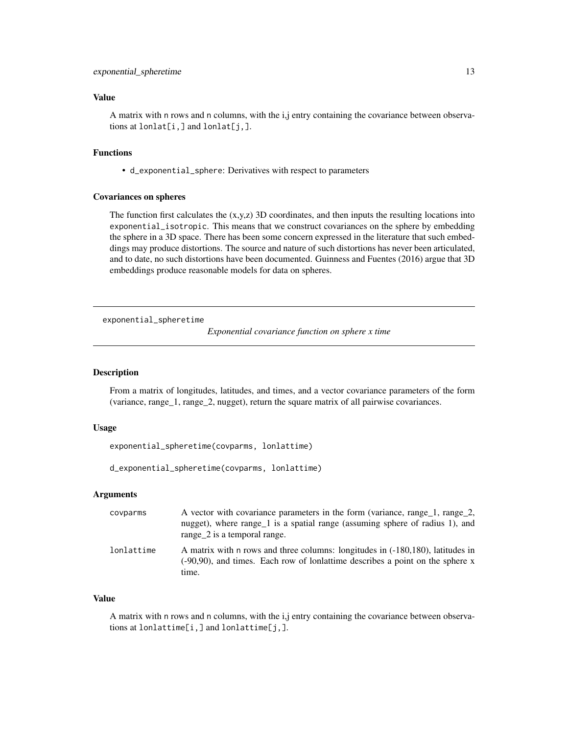### <span id="page-12-0"></span>Value

A matrix with n rows and n columns, with the i,j entry containing the covariance between observations at  $l$ onlat $[i, j]$  and  $l$ onlat $[j, j]$ .

### Functions

• d\_exponential\_sphere: Derivatives with respect to parameters

#### Covariances on spheres

The function first calculates the  $(x,y,z)$  3D coordinates, and then inputs the resulting locations into exponential\_isotropic. This means that we construct covariances on the sphere by embedding the sphere in a 3D space. There has been some concern expressed in the literature that such embeddings may produce distortions. The source and nature of such distortions has never been articulated, and to date, no such distortions have been documented. Guinness and Fuentes (2016) argue that 3D embeddings produce reasonable models for data on spheres.

<span id="page-12-1"></span>exponential\_spheretime

*Exponential covariance function on sphere x time*

### **Description**

From a matrix of longitudes, latitudes, and times, and a vector covariance parameters of the form (variance, range\_1, range\_2, nugget), return the square matrix of all pairwise covariances.

#### Usage

exponential\_spheretime(covparms, lonlattime)

d\_exponential\_spheretime(covparms, lonlattime)

### Arguments

| covparms   | A vector with covariance parameters in the form (variance, range 1, range 2,<br>nugget), where range 1 is a spatial range (assuming sphere of radius 1), and<br>range_2 is a temporal range. |
|------------|----------------------------------------------------------------------------------------------------------------------------------------------------------------------------------------------|
| lonlattime | A matrix with n rows and three columns: longitudes in $(-180,180)$ , latitudes in<br>$(-90,90)$ , and times. Each row of lonlattime describes a point on the sphere x<br>time.               |

### Value

A matrix with n rows and n columns, with the i,j entry containing the covariance between observations at lonlattime[i,] and lonlattime[j,].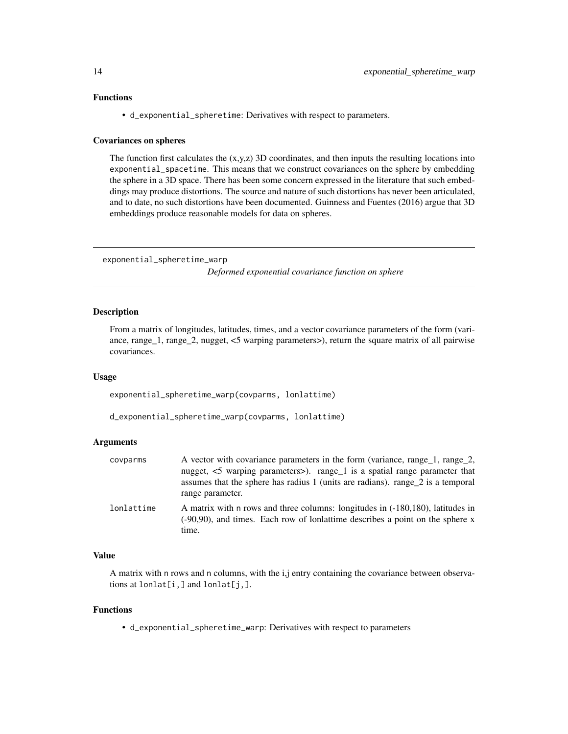### <span id="page-13-0"></span>Functions

• d\_exponential\_spheretime: Derivatives with respect to parameters.

#### Covariances on spheres

The function first calculates the  $(x,y,z)$  3D coordinates, and then inputs the resulting locations into exponential\_spacetime. This means that we construct covariances on the sphere by embedding the sphere in a 3D space. There has been some concern expressed in the literature that such embeddings may produce distortions. The source and nature of such distortions has never been articulated, and to date, no such distortions have been documented. Guinness and Fuentes (2016) argue that 3D embeddings produce reasonable models for data on spheres.

<span id="page-13-1"></span>exponential\_spheretime\_warp

*Deformed exponential covariance function on sphere*

### **Description**

From a matrix of longitudes, latitudes, times, and a vector covariance parameters of the form (variance, range\_1, range\_2, nugget, <5 warping parameters>), return the square matrix of all pairwise covariances.

### Usage

exponential\_spheretime\_warp(covparms, lonlattime)

d\_exponential\_spheretime\_warp(covparms, lonlattime)

#### Arguments

| covparms   | A vector with covariance parameters in the form (variance, range_1, range_2,<br>nugget, $\leq$ 5 warping parameters $>$ ). range_1 is a spatial range parameter that<br>assumes that the sphere has radius 1 (units are radians), range 2 is a temporal<br>range parameter. |
|------------|-----------------------------------------------------------------------------------------------------------------------------------------------------------------------------------------------------------------------------------------------------------------------------|
| lonlattime | A matrix with n rows and three columns: longitudes in (-180,180), latitudes in<br>$(-90,90)$ , and times. Each row of lonlattime describes a point on the sphere x<br>time.                                                                                                 |

### Value

A matrix with n rows and n columns, with the i,j entry containing the covariance between observations at lonlat[i,] and lonlat[j,].

### Functions

• d\_exponential\_spheretime\_warp: Derivatives with respect to parameters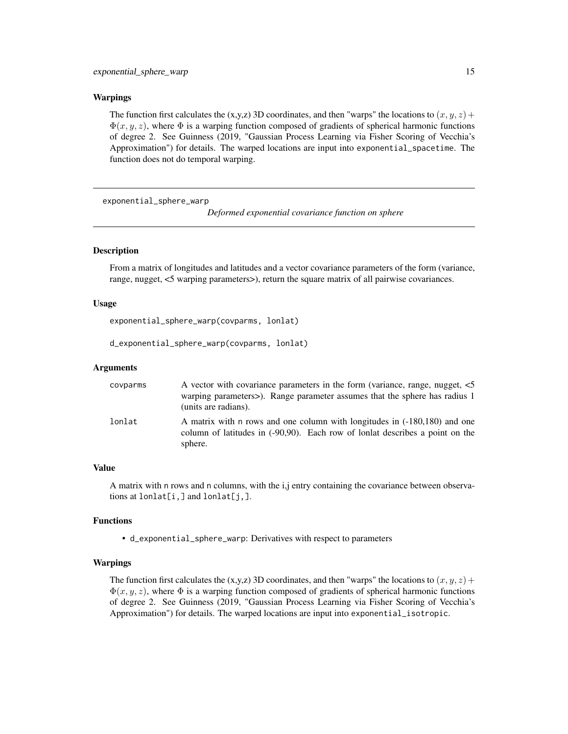#### <span id="page-14-0"></span>Warpings

The function first calculates the (x,y,z) 3D coordinates, and then "warps" the locations to  $(x, y, z)$  +  $\Phi(x, y, z)$ , where  $\Phi$  is a warping function composed of gradients of spherical harmonic functions of degree 2. See Guinness (2019, "Gaussian Process Learning via Fisher Scoring of Vecchia's Approximation") for details. The warped locations are input into exponential\_spacetime. The function does not do temporal warping.

<span id="page-14-1"></span>exponential\_sphere\_warp

*Deformed exponential covariance function on sphere*

### **Description**

From a matrix of longitudes and latitudes and a vector covariance parameters of the form (variance, range, nugget, <5 warping parameters>), return the square matrix of all pairwise covariances.

#### Usage

exponential\_sphere\_warp(covparms, lonlat)

d\_exponential\_sphere\_warp(covparms, lonlat)

### Arguments

| covparms | A vector with covariance parameters in the form (variance, range, nugget, $\leq 5$ )<br>warping parameters>). Range parameter assumes that the sphere has radius 1<br>(units are radians). |
|----------|--------------------------------------------------------------------------------------------------------------------------------------------------------------------------------------------|
| lonlat   | A matrix with n rows and one column with longitudes in (-180,180) and one<br>column of latitudes in (-90,90). Each row of lonlat describes a point on the<br>sphere.                       |

### Value

A matrix with n rows and n columns, with the i,j entry containing the covariance between observations at  $l$ onlat $[i, j]$  and  $l$ onlat $[j, j]$ .

#### Functions

• d\_exponential\_sphere\_warp: Derivatives with respect to parameters

#### Warpings

The function first calculates the (x,y,z) 3D coordinates, and then "warps" the locations to  $(x, y, z)$  +  $\Phi(x, y, z)$ , where  $\Phi$  is a warping function composed of gradients of spherical harmonic functions of degree 2. See Guinness (2019, "Gaussian Process Learning via Fisher Scoring of Vecchia's Approximation") for details. The warped locations are input into exponential\_isotropic.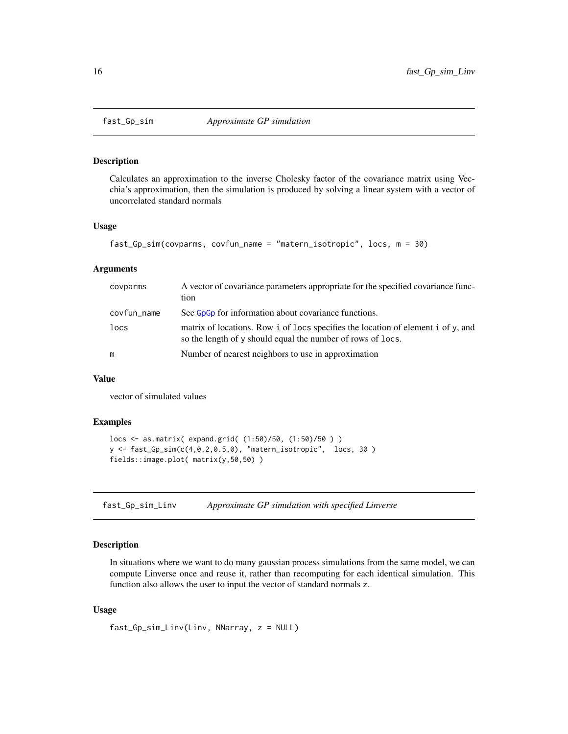<span id="page-15-0"></span>

#### Description

Calculates an approximation to the inverse Cholesky factor of the covariance matrix using Vecchia's approximation, then the simulation is produced by solving a linear system with a vector of uncorrelated standard normals

#### Usage

```
fast_Gp_sim(covparms, covfun_name = "matern_isotropic", locs, m = 30)
```
#### **Arguments**

| covparms    | A vector of covariance parameters appropriate for the specified covariance func-<br>tion                                                           |
|-------------|----------------------------------------------------------------------------------------------------------------------------------------------------|
| covfun_name | See G <sub>p</sub> C <sub>p</sub> for information about covariance functions.                                                                      |
| locs        | matrix of locations. Row i of locs specifies the location of element i of $y$ , and<br>so the length of y should equal the number of rows of locs. |
| m           | Number of nearest neighbors to use in approximation                                                                                                |

#### Value

vector of simulated values

#### Examples

```
locs <- as.matrix( expand.grid( (1:50)/50, (1:50)/50 ) )
y <- fast_Gp_sim(c(4,0.2,0.5,0), "matern_isotropic", locs, 30 )
fields::image.plot( matrix(y,50,50) )
```
fast\_Gp\_sim\_Linv *Approximate GP simulation with specified Linverse*

### Description

In situations where we want to do many gaussian process simulations from the same model, we can compute Linverse once and reuse it, rather than recomputing for each identical simulation. This function also allows the user to input the vector of standard normals z.

#### Usage

fast\_Gp\_sim\_Linv(Linv, NNarray, z = NULL)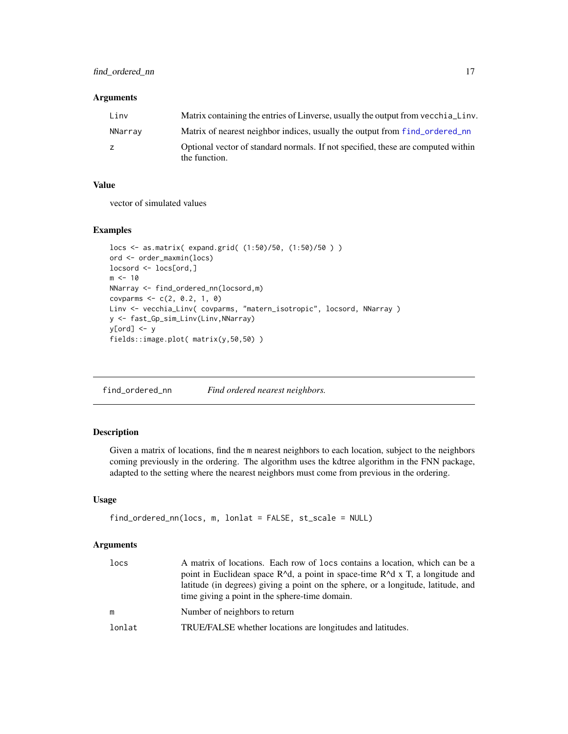### <span id="page-16-0"></span>Arguments

| Linv    | Matrix containing the entries of Linverse, usually the output from vecchia Linv.                  |
|---------|---------------------------------------------------------------------------------------------------|
| NNarray | Matrix of nearest neighbor indices, usually the output from f ind_ordered_nn                      |
| z.      | Optional vector of standard normals. If not specified, these are computed within<br>the function. |

### Value

vector of simulated values

### Examples

```
locs <- as.matrix( expand.grid( (1:50)/50, (1:50)/50 ) )
ord <- order_maxmin(locs)
locsord <- locs[ord,]
m < -10NNarray <- find_ordered_nn(locsord,m)
covparms <- c(2, 0.2, 1, 0)
Linv <- vecchia_Linv( covparms, "matern_isotropic", locsord, NNarray )
y <- fast_Gp_sim_Linv(Linv,NNarray)
y[ord] <- y
fields::image.plot( matrix(y,50,50) )
```
<span id="page-16-1"></span>find\_ordered\_nn *Find ordered nearest neighbors.*

#### Description

Given a matrix of locations, find the m nearest neighbors to each location, subject to the neighbors coming previously in the ordering. The algorithm uses the kdtree algorithm in the FNN package, adapted to the setting where the nearest neighbors must come from previous in the ordering.

### Usage

```
find_ordered_nn(locs, m, lonlat = FALSE, st_scale = NULL)
```

| locs   | A matrix of locations. Each row of locs contains a location, which can be a<br>point in Euclidean space $R^d$ , a point in space-time $R^d$ x T, a longitude and<br>latitude (in degrees) giving a point on the sphere, or a longitude, latitude, and<br>time giving a point in the sphere-time domain. |
|--------|---------------------------------------------------------------------------------------------------------------------------------------------------------------------------------------------------------------------------------------------------------------------------------------------------------|
| m      | Number of neighbors to return                                                                                                                                                                                                                                                                           |
| lonlat | TRUE/FALSE whether locations are longitudes and latitudes.                                                                                                                                                                                                                                              |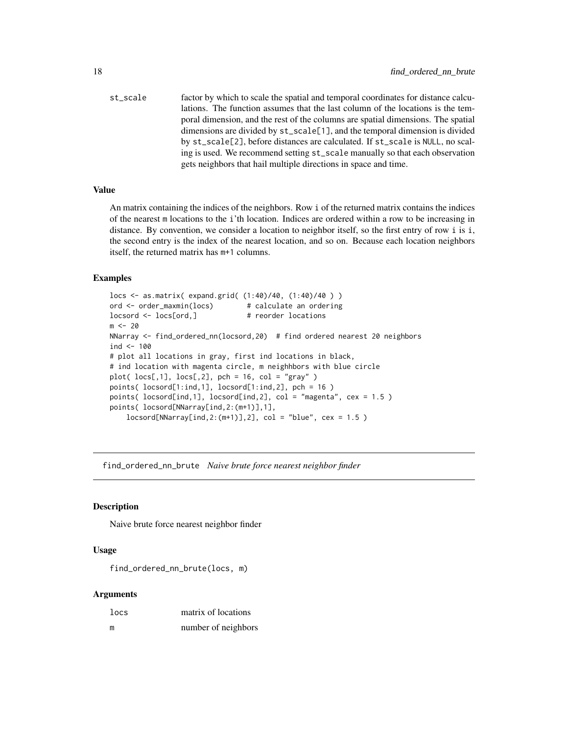<span id="page-17-0"></span>st\_scale factor by which to scale the spatial and temporal coordinates for distance calculations. The function assumes that the last column of the locations is the temporal dimension, and the rest of the columns are spatial dimensions. The spatial dimensions are divided by st\_scale[1], and the temporal dimension is divided by st\_scale[2], before distances are calculated. If st\_scale is NULL, no scaling is used. We recommend setting st\_scale manually so that each observation gets neighbors that hail multiple directions in space and time.

#### Value

An matrix containing the indices of the neighbors. Row i of the returned matrix contains the indices of the nearest m locations to the i'th location. Indices are ordered within a row to be increasing in distance. By convention, we consider a location to neighbor itself, so the first entry of row i is i, the second entry is the index of the nearest location, and so on. Because each location neighbors itself, the returned matrix has m+1 columns.

#### Examples

```
locs <- as.matrix( expand.grid( (1:40)/40, (1:40)/40 ) )
ord <- order_maxmin(locs) # calculate an ordering
locsord <- locs[ord,] # reorder locations
m < -20NNarray <- find_ordered_nn(locsord,20) # find ordered nearest 20 neighbors
ind < -100# plot all locations in gray, first ind locations in black,
# ind location with magenta circle, m neighhbors with blue circle
plot( locs[,1], locs[,2], pch = 16, col = "gray")
points( locsord[1:ind,1], locsord[1:ind,2], pch = 16 )
points( locsord[ind,1], locsord[ind,2], col = "magenta", cex = 1.5 )
points( locsord[NNarray[ind,2:(m+1)],1],
   locsord[NNarray[ind,2:(m+1)],2], col = "blue", cex = 1.5)
```
find\_ordered\_nn\_brute *Naive brute force nearest neighbor finder*

#### **Description**

Naive brute force nearest neighbor finder

#### Usage

find\_ordered\_nn\_brute(locs, m)

| locs | matrix of locations |
|------|---------------------|
| m    | number of neighbors |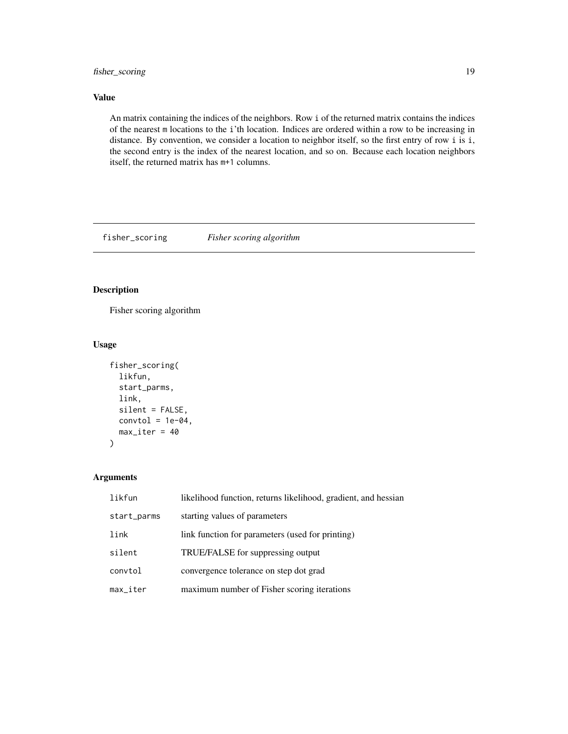### <span id="page-18-0"></span>fisher\_scoring 19

### Value

An matrix containing the indices of the neighbors. Row i of the returned matrix contains the indices of the nearest m locations to the i'th location. Indices are ordered within a row to be increasing in distance. By convention, we consider a location to neighbor itself, so the first entry of row i is i, the second entry is the index of the nearest location, and so on. Because each location neighbors itself, the returned matrix has m+1 columns.

fisher\_scoring *Fisher scoring algorithm*

### Description

Fisher scoring algorithm

#### Usage

```
fisher_scoring(
  likfun,
  start_parms,
  link,
  silent = FALSE,
  control = 1e-04,
  max\_iter = 40)
```

| likfun                    | likelihood function, returns likelihood, gradient, and hessian |
|---------------------------|----------------------------------------------------------------|
| start_parms               | starting values of parameters                                  |
| link                      | link function for parameters (used for printing)               |
| silent                    | TRUE/FALSE for suppressing output                              |
| convtol                   | convergence tolerance on step dot grad                         |
| $max$ <sub>-</sub> $iter$ | maximum number of Fisher scoring iterations                    |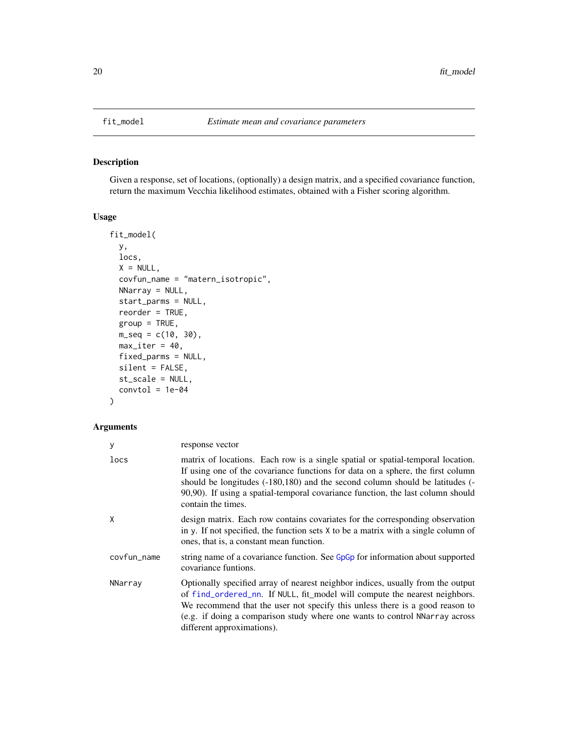### Description

Given a response, set of locations, (optionally) a design matrix, and a specified covariance function, return the maximum Vecchia likelihood estimates, obtained with a Fisher scoring algorithm.

### Usage

```
fit_model(
 y,
  locs,
 X = NULL,covfun_name = "matern_isotropic",
 NNarray = NULL,
  start_parms = NULL,
  reorder = TRUE,
  group = TRUE,
 m_seq = c(10, 30),
 max\_iter = 40,
  fixed_parms = NULL,
  silent = FALSE,
  st_scale = NULL,
  control = 1e-04
```

```
)
```

| у           | response vector                                                                                                                                                                                                                                                                                                                                             |
|-------------|-------------------------------------------------------------------------------------------------------------------------------------------------------------------------------------------------------------------------------------------------------------------------------------------------------------------------------------------------------------|
| locs        | matrix of locations. Each row is a single spatial or spatial-temporal location.<br>If using one of the covariance functions for data on a sphere, the first column<br>should be longitudes (-180,180) and the second column should be latitudes (-<br>90,90). If using a spatial-temporal covariance function, the last column should<br>contain the times. |
| Χ           | design matrix. Each row contains covariates for the corresponding observation<br>in y. If not specified, the function sets $X$ to be a matrix with a single column of<br>ones, that is, a constant mean function.                                                                                                                                           |
| covfun_name | string name of a covariance function. See GpGp for information about supported<br>covariance funtions.                                                                                                                                                                                                                                                      |
| NNarray     | Optionally specified array of nearest neighbor indices, usually from the output<br>of find_ordered_nn. If NULL, fit_model will compute the nearest neighbors.<br>We recommend that the user not specify this unless there is a good reason to<br>(e.g. if doing a comparison study where one wants to control NNarray across<br>different approximations).  |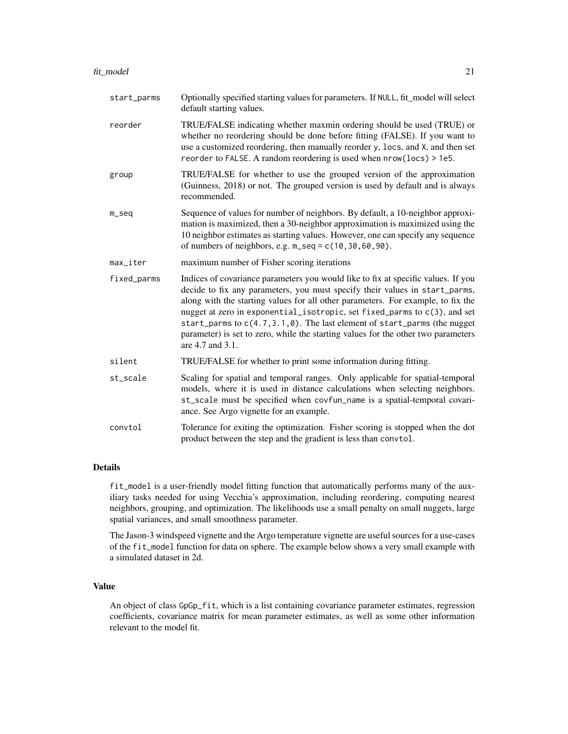| start_parms | Optionally specified starting values for parameters. If NULL, fit_model will select<br>default starting values.                                                                                                                                                                                                                                                                                                                                                                                                             |
|-------------|-----------------------------------------------------------------------------------------------------------------------------------------------------------------------------------------------------------------------------------------------------------------------------------------------------------------------------------------------------------------------------------------------------------------------------------------------------------------------------------------------------------------------------|
| reorder     | TRUE/FALSE indicating whether maxmin ordering should be used (TRUE) or<br>whether no reordering should be done before fitting (FALSE). If you want to<br>use a customized reordering, then manually reorder y, locs, and X, and then set<br>reorder to FALSE. A random reordering is used when nrow(locs) > 1e5.                                                                                                                                                                                                            |
| group       | TRUE/FALSE for whether to use the grouped version of the approximation<br>(Guinness, 2018) or not. The grouped version is used by default and is always<br>recommended.                                                                                                                                                                                                                                                                                                                                                     |
| $m$ _seq    | Sequence of values for number of neighbors. By default, a 10-neighbor approxi-<br>mation is maximized, then a 30-neighbor approximation is maximized using the<br>10 neighbor estimates as starting values. However, one can specify any sequence<br>of numbers of neighbors, e.g. $m$ _seq = c(10,30,60,90).                                                                                                                                                                                                               |
| max_iter    | maximum number of Fisher scoring iterations                                                                                                                                                                                                                                                                                                                                                                                                                                                                                 |
| fixed_parms | Indices of covariance parameters you would like to fix at specific values. If you<br>decide to fix any parameters, you must specify their values in start_parms,<br>along with the starting values for all other parameters. For example, to fix the<br>nugget at zero in exponential_isotropic, set fixed_parms to c(3), and set<br>start_parms to $c(4.7, 3.1, 0)$ . The last element of start_parms (the nugget<br>parameter) is set to zero, while the starting values for the other two parameters<br>are 4.7 and 3.1. |
| silent      | TRUE/FALSE for whether to print some information during fitting.                                                                                                                                                                                                                                                                                                                                                                                                                                                            |
| st_scale    | Scaling for spatial and temporal ranges. Only applicable for spatial-temporal<br>models, where it is used in distance calculations when selecting neighbors.<br>st_scale must be specified when covfun_name is a spatial-temporal covari-<br>ance. See Argo vignette for an example.                                                                                                                                                                                                                                        |
| convtol     | Tolerance for exiting the optimization. Fisher scoring is stopped when the dot<br>product between the step and the gradient is less than convtol.                                                                                                                                                                                                                                                                                                                                                                           |

#### Details

fit\_model is a user-friendly model fitting function that automatically performs many of the auxiliary tasks needed for using Vecchia's approximation, including reordering, computing nearest neighbors, grouping, and optimization. The likelihoods use a small penalty on small nuggets, large spatial variances, and small smoothness parameter.

The Jason-3 windspeed vignette and the Argo temperature vignette are useful sources for a use-cases of the fit\_model function for data on sphere. The example below shows a very small example with a simulated dataset in 2d.

### Value

An object of class GpGp\_fit, which is a list containing covariance parameter estimates, regression coefficients, covariance matrix for mean parameter estimates, as well as some other information relevant to the model fit.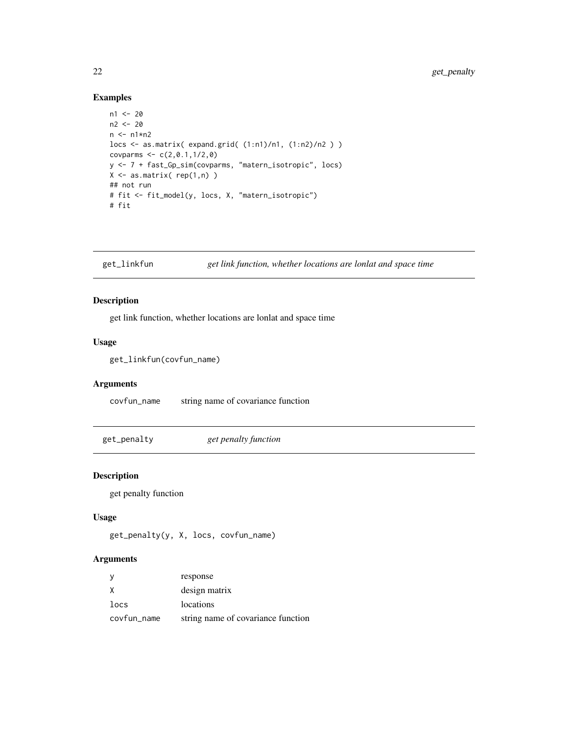### Examples

```
n1 < -20n2 <- 20
n \leq -n1*n2locs <- as.matrix( expand.grid( (1:n1)/n1, (1:n2)/n2 ) )
covparms <-c(2, 0.1, 1/2, 0)y <- 7 + fast_Gp_sim(covparms, "matern_isotropic", locs)
X \leftarrow \text{as_matrix}(\text{rep}(1,n))## not run
# fit <- fit_model(y, locs, X, "matern_isotropic")
# fit
```
get\_linkfun *get link function, whether locations are lonlat and space time*

### Description

get link function, whether locations are lonlat and space time

### Usage

```
get_linkfun(covfun_name)
```
### Arguments

covfun\_name string name of covariance function

get\_penalty *get penalty function*

#### Description

get penalty function

### Usage

get\_penalty(y, X, locs, covfun\_name)

|             | response                           |
|-------------|------------------------------------|
|             | design matrix                      |
| locs        | locations                          |
| covfun_name | string name of covariance function |

<span id="page-21-0"></span>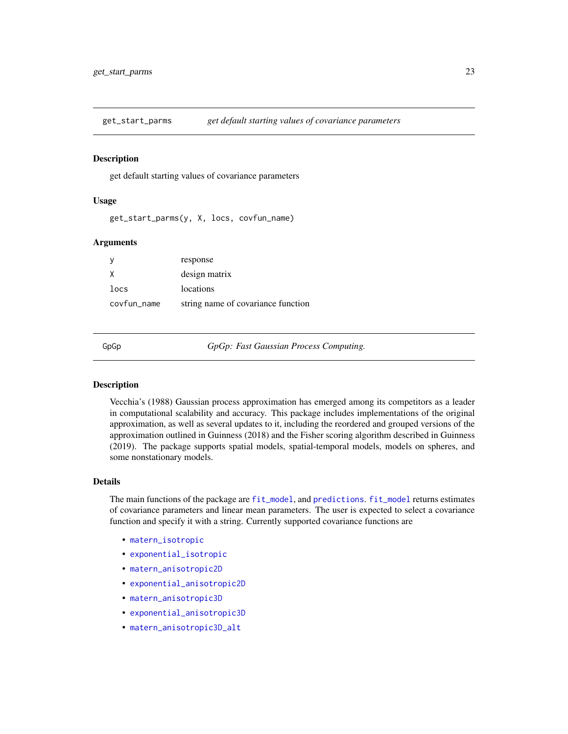<span id="page-22-0"></span>

#### Description

get default starting values of covariance parameters

#### Usage

get\_start\_parms(y, X, locs, covfun\_name)

#### Arguments

|             | response                           |
|-------------|------------------------------------|
|             | design matrix                      |
| locs        | locations                          |
| covfun_name | string name of covariance function |

<span id="page-22-1"></span>

GpGp *GpGp: Fast Gaussian Process Computing.*

#### Description

Vecchia's (1988) Gaussian process approximation has emerged among its competitors as a leader in computational scalability and accuracy. This package includes implementations of the original approximation, as well as several updates to it, including the reordered and grouped versions of the approximation outlined in Guinness (2018) and the Fisher scoring algorithm described in Guinness (2019). The package supports spatial models, spatial-temporal models, models on spheres, and some nonstationary models.

#### Details

The main functions of the package are [fit\\_model](#page-19-1), and [predictions](#page-54-1). fit\_model returns estimates of covariance parameters and linear mean parameters. The user is expected to select a covariance function and specify it with a string. Currently supported covariance functions are

- [matern\\_isotropic](#page-40-1)
- [exponential\\_isotropic](#page-7-1)
- [matern\\_anisotropic2D](#page-36-1)
- [exponential\\_anisotropic2D](#page-5-1)
- [matern\\_anisotropic3D](#page-37-1)
- [exponential\\_anisotropic3D](#page-6-1)
- [matern\\_anisotropic3D\\_alt](#page-38-1)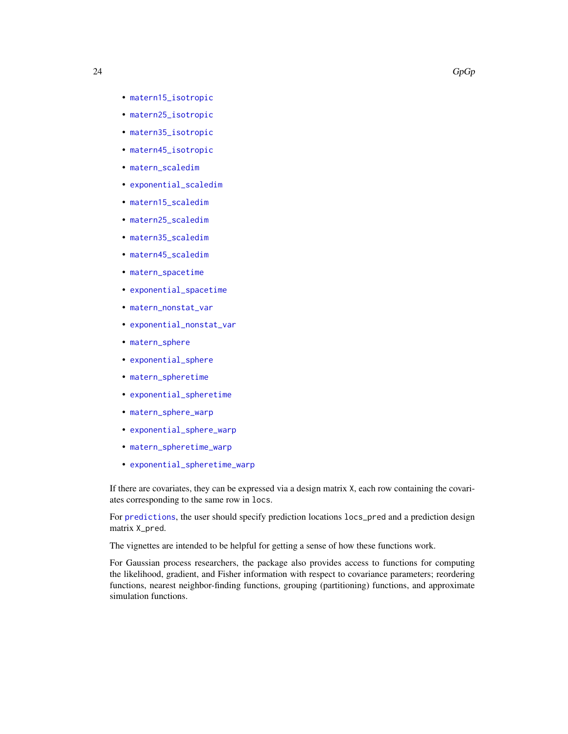- <span id="page-23-0"></span>• [matern15\\_isotropic](#page-29-1)
- [matern25\\_isotropic](#page-31-1)
- [matern35\\_isotropic](#page-32-1)
- [matern45\\_isotropic](#page-34-1)
- [matern\\_scaledim](#page-42-1)
- [exponential\\_scaledim](#page-9-1)
- [matern15\\_scaledim](#page-30-1)
- [matern25\\_scaledim](#page-31-2)
- [matern35\\_scaledim](#page-33-1)
- [matern45\\_scaledim](#page-35-1)
- [matern\\_spacetime](#page-43-1)
- [exponential\\_spacetime](#page-10-1)
- [matern\\_nonstat\\_var](#page-41-1)
- [exponential\\_nonstat\\_var](#page-8-1)
- [matern\\_sphere](#page-46-1)
- [exponential\\_sphere](#page-11-1)
- [matern\\_spheretime](#page-47-1)
- [exponential\\_spheretime](#page-12-1)
- [matern\\_sphere\\_warp](#page-49-1)
- [exponential\\_sphere\\_warp](#page-14-1)
- [matern\\_spheretime\\_warp](#page-48-1)
- [exponential\\_spheretime\\_warp](#page-13-1)

If there are covariates, they can be expressed via a design matrix X, each row containing the covariates corresponding to the same row in locs.

For [predictions](#page-54-1), the user should specify prediction locations locs\_pred and a prediction design matrix X\_pred.

The vignettes are intended to be helpful for getting a sense of how these functions work.

For Gaussian process researchers, the package also provides access to functions for computing the likelihood, gradient, and Fisher information with respect to covariance parameters; reordering functions, nearest neighbor-finding functions, grouping (partitioning) functions, and approximate simulation functions.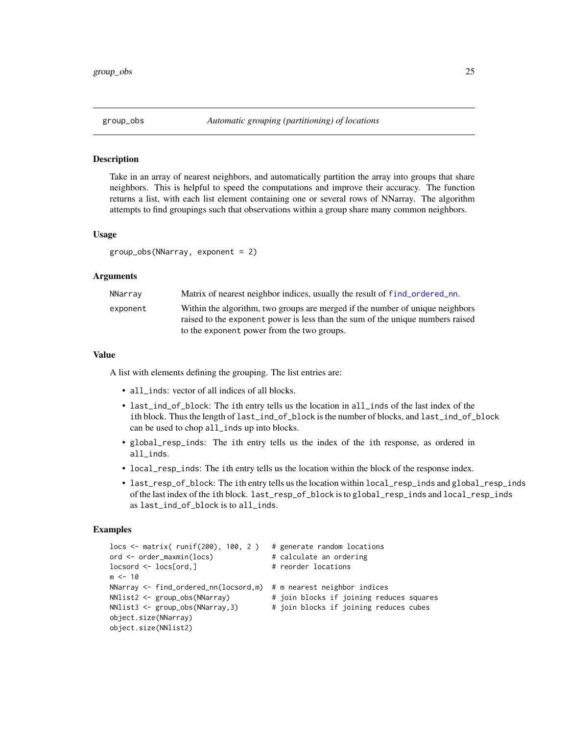<span id="page-24-1"></span><span id="page-24-0"></span>

#### **Description**

Take in an array of nearest neighbors, and automatically partition the array into groups that share neighbors. This is helpful to speed the computations and improve their accuracy. The function returns a list, with each list element containing one or several rows of NNarray. The algorithm attempts to find groupings such that observations within a group share many common neighbors.

#### Usage

group\_obs(NNarray, exponent = 2)

#### Arguments

| NNarrav  | Matrix of nearest neighbor indices, usually the result of f ind_ordered_nn.                                                                                     |
|----------|-----------------------------------------------------------------------------------------------------------------------------------------------------------------|
| exponent | Within the algorithm, two groups are merged if the number of unique neighbors<br>raised to the exponent power is less than the sum of the unique numbers raised |
|          | to the exponent power from the two groups.                                                                                                                      |

#### Value

A list with elements defining the grouping. The list entries are:

- all\_inds: vector of all indices of all blocks.
- last\_ind\_of\_block: The ith entry tells us the location in all\_inds of the last index of the ith block. Thus the length of last\_ind\_of\_block is the number of blocks, and last\_ind\_of\_block can be used to chop all\_inds up into blocks.
- global\_resp\_inds: The ith entry tells us the index of the ith response, as ordered in all\_inds.
- local\_resp\_inds: The ith entry tells us the location within the block of the response index.
- last\_resp\_of\_block: The ith entry tells us the location within local\_resp\_inds and global\_resp\_inds of the last index of the ith block. last\_resp\_of\_block is to global\_resp\_inds and local\_resp\_inds as last\_ind\_of\_block is to all\_inds.

#### Examples

```
locs <- matrix( runif(200), 100, 2) # generate random locations
ord <- order_maxmin(locs) # calculate an ordering
locsord <- locs[ord,] \qquad \qquad \qquad \qquad # reorder locations
m < - 10NNarray <- find_ordered_nn(locsord,m) # m nearest neighbor indices
NNlist2 <- group_obs(NNarray) # join blocks if joining reduces squares
NNlist3 <- group_obs(NNarray,3) # join blocks if joining reduces cubes
object.size(NNarray)
object.size(NNlist2)
```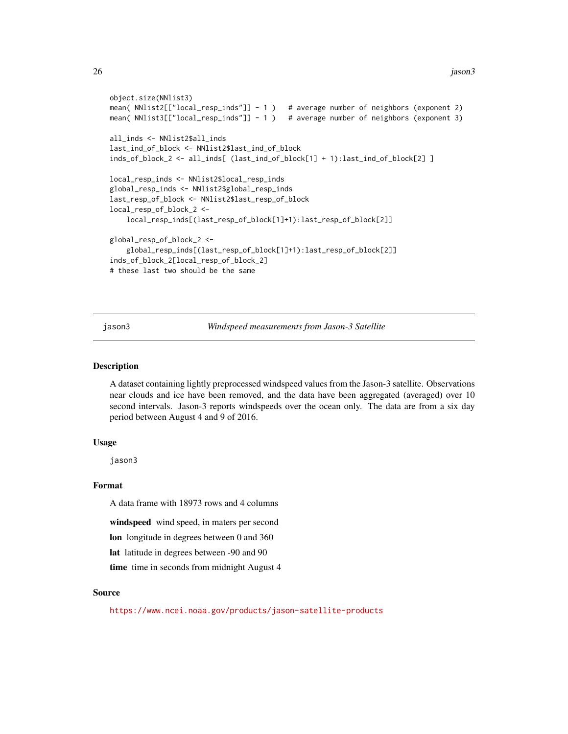```
object.size(NNlist3)
mean( NNlist2[["local_resp_inds"]] - 1 ) # average number of neighbors (exponent 2)
mean( NNlist3[["local_resp_inds"]] - 1 ) # average number of neighbors (exponent 3)
all_inds <- NNlist2$all_inds
last_ind_of_block <- NNlist2$last_ind_of_block
inds_of_block_2 <- all_inds[ (last_ind_of_block[1] + 1):last_ind_of_block[2] ]
local_resp_inds <- NNlist2$local_resp_inds
global_resp_inds <- NNlist2$global_resp_inds
last_resp_of_block <- NNlist2$last_resp_of_block
local_resp_of_block_2 <-
    local_resp_inds[(last_resp_of_block[1]+1):last_resp_of_block[2]]
global_resp_of_block_2 <-
    global_resp_inds[(last_resp_of_block[1]+1):last_resp_of_block[2]]
inds_of_block_2[local_resp_of_block_2]
# these last two should be the same
```
jason3 *Windspeed measurements from Jason-3 Satellite*

### Description

A dataset containing lightly preprocessed windspeed values from the Jason-3 satellite. Observations near clouds and ice have been removed, and the data have been aggregated (averaged) over 10 second intervals. Jason-3 reports windspeeds over the ocean only. The data are from a six day period between August 4 and 9 of 2016.

#### Usage

jason3

### Format

A data frame with 18973 rows and 4 columns

windspeed wind speed, in maters per second

lon longitude in degrees between 0 and 360

lat latitude in degrees between -90 and 90

time time in seconds from midnight August 4

#### Source

<https://www.ncei.noaa.gov/products/jason-satellite-products>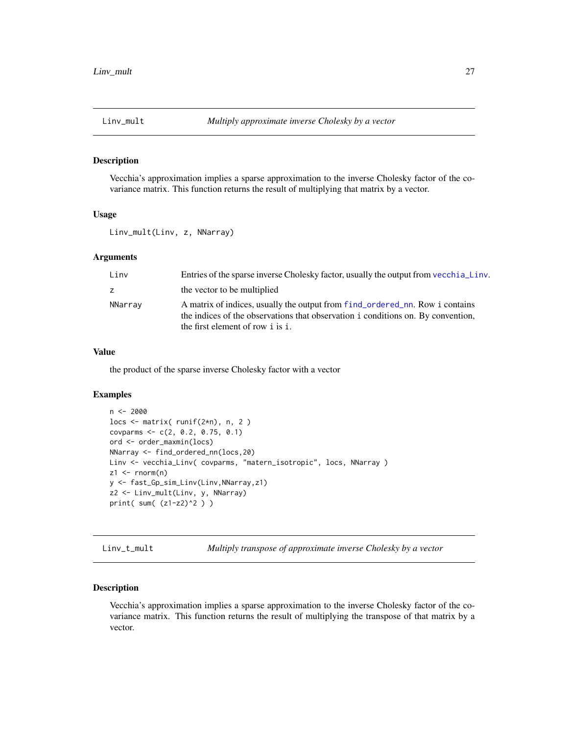#### <span id="page-26-0"></span>Description

Vecchia's approximation implies a sparse approximation to the inverse Cholesky factor of the covariance matrix. This function returns the result of multiplying that matrix by a vector.

#### Usage

Linv\_mult(Linv, z, NNarray)

#### Arguments

| Linv    | Entries of the sparse inverse Cholesky factor, usually the output from vecchia Linv.                                                                                                                  |
|---------|-------------------------------------------------------------------------------------------------------------------------------------------------------------------------------------------------------|
| z       | the vector to be multiplied                                                                                                                                                                           |
| NNarray | A matrix of indices, usually the output from f ind_ordered_nn. Row i contains<br>the indices of the observations that observation i conditions on. By convention,<br>the first element of row i is i. |

#### Value

the product of the sparse inverse Cholesky factor with a vector

#### Examples

```
n < -2000locs <- matrix( runif(2*n), n, 2 )
covparms <- c(2, 0.2, 0.75, 0.1)
ord <- order_maxmin(locs)
NNarray <- find_ordered_nn(locs,20)
Linv <- vecchia_Linv( covparms, "matern_isotropic", locs, NNarray )
z1 <- rnorm(n)y <- fast_Gp_sim_Linv(Linv,NNarray,z1)
z2 <- Linv_mult(Linv, y, NNarray)
print( sum( (z1-z2)^2 ) )
```
Linv\_t\_mult *Multiply transpose of approximate inverse Cholesky by a vector*

#### Description

Vecchia's approximation implies a sparse approximation to the inverse Cholesky factor of the covariance matrix. This function returns the result of multiplying the transpose of that matrix by a vector.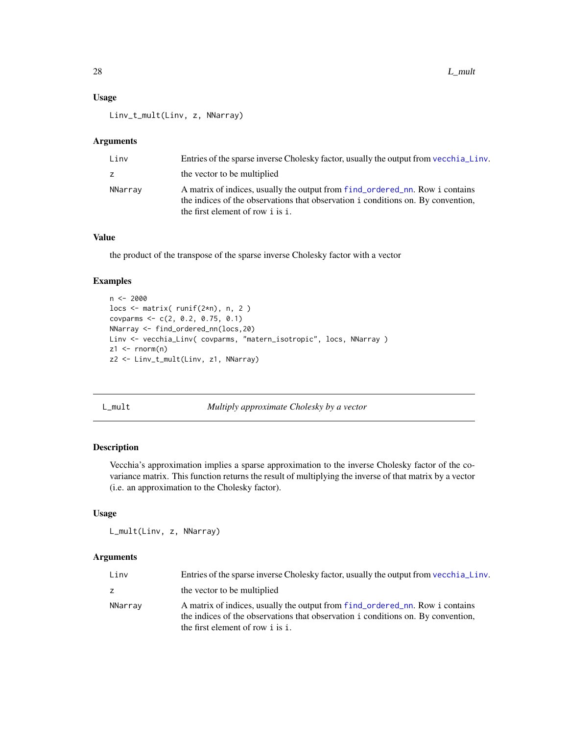<span id="page-27-0"></span>Linv\_t\_mult(Linv, z, NNarray)

#### Arguments

| Linv    | Entries of the sparse inverse Cholesky factor, usually the output from vecchia Linv.                                                                                                                  |
|---------|-------------------------------------------------------------------------------------------------------------------------------------------------------------------------------------------------------|
| Z       | the vector to be multiplied                                                                                                                                                                           |
| NNarray | A matrix of indices, usually the output from f ind_ordered_nn. Row i contains<br>the indices of the observations that observation i conditions on. By convention,<br>the first element of row i is i. |

#### Value

the product of the transpose of the sparse inverse Cholesky factor with a vector

### Examples

```
n < -2000locs <- matrix( runif(2*n), n, 2 )
covparms <-c(2, 0.2, 0.75, 0.1)NNarray <- find_ordered_nn(locs,20)
Linv <- vecchia_Linv( covparms, "matern_isotropic", locs, NNarray )
z1 \le rnorm(n)
z2 <- Linv_t_mult(Linv, z1, NNarray)
```
L\_mult *Multiply approximate Cholesky by a vector*

#### Description

Vecchia's approximation implies a sparse approximation to the inverse Cholesky factor of the covariance matrix. This function returns the result of multiplying the inverse of that matrix by a vector (i.e. an approximation to the Cholesky factor).

#### Usage

```
L_mult(Linv, z, NNarray)
```

| Linv    | Entries of the sparse inverse Cholesky factor, usually the output from vecchia Linv.                                                                                                                  |
|---------|-------------------------------------------------------------------------------------------------------------------------------------------------------------------------------------------------------|
|         | the vector to be multiplied                                                                                                                                                                           |
| NNarray | A matrix of indices, usually the output from f ind_ordered_nn. Row i contains<br>the indices of the observations that observation i conditions on. By convention,<br>the first element of row i is i. |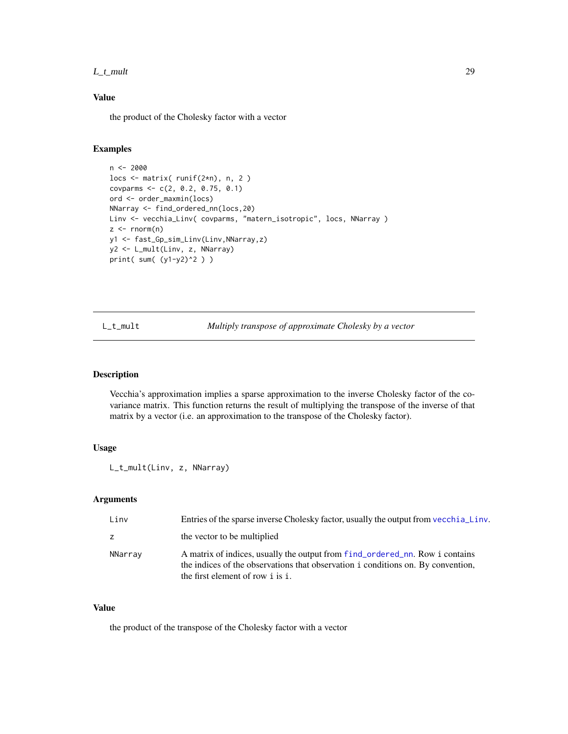#### <span id="page-28-0"></span> $L_t$  mult 29

### Value

the product of the Cholesky factor with a vector

### Examples

```
n <- 2000
locs <- matrix( runif(2*n), n, 2 )
covparms <- c(2, 0.2, 0.75, 0.1)
ord <- order_maxmin(locs)
NNarray <- find_ordered_nn(locs,20)
Linv <- vecchia_Linv( covparms, "matern_isotropic", locs, NNarray )
z \leq -rnorm(n)y1 <- fast_Gp_sim_Linv(Linv,NNarray,z)
y2 <- L_mult(Linv, z, NNarray)
print( sum( (y1-y2)^2 ) )
```
L\_t\_mult *Multiply transpose of approximate Cholesky by a vector*

#### Description

Vecchia's approximation implies a sparse approximation to the inverse Cholesky factor of the covariance matrix. This function returns the result of multiplying the transpose of the inverse of that matrix by a vector (i.e. an approximation to the transpose of the Cholesky factor).

### Usage

```
L_t_mult(Linv, z, NNarray)
```
### Arguments

| Linv    | Entries of the sparse inverse Cholesky factor, usually the output from vecchia Linv.                                                                                                                  |
|---------|-------------------------------------------------------------------------------------------------------------------------------------------------------------------------------------------------------|
| Z.      | the vector to be multiplied                                                                                                                                                                           |
| NNarray | A matrix of indices, usually the output from f ind_ordered_nn. Row i contains<br>the indices of the observations that observation i conditions on. By convention,<br>the first element of row i is i. |

### Value

the product of the transpose of the Cholesky factor with a vector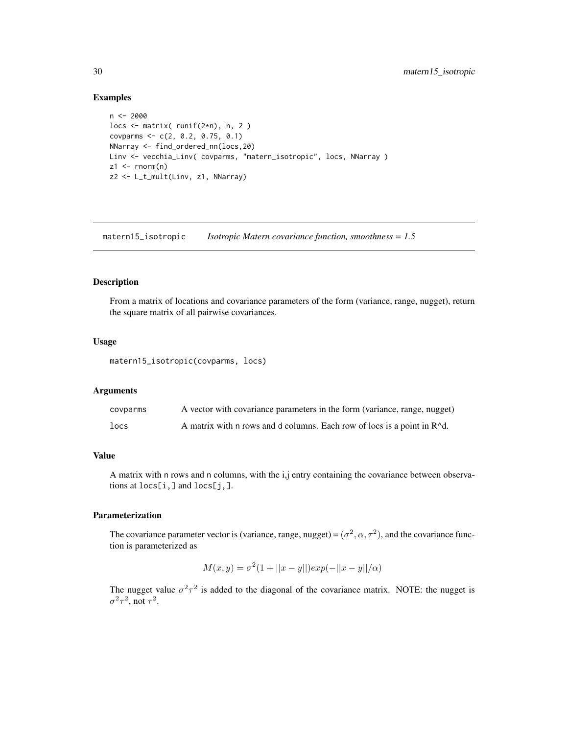#### Examples

```
n <- 2000
locs <- matrix( runif(2*n), n, 2 )
covparms <- c(2, 0.2, 0.75, 0.1)
NNarray <- find_ordered_nn(locs,20)
Linv <- vecchia_Linv( covparms, "matern_isotropic", locs, NNarray )
z1 \le- rnorm(n)z2 <- L_t_mult(Linv, z1, NNarray)
```
<span id="page-29-1"></span>matern15\_isotropic *Isotropic Matern covariance function, smoothness = 1.5*

### Description

From a matrix of locations and covariance parameters of the form (variance, range, nugget), return the square matrix of all pairwise covariances.

### Usage

```
matern15_isotropic(covparms, locs)
```
#### Arguments

| covparms         | A vector with covariance parameters in the form (variance, range, nugget)          |
|------------------|------------------------------------------------------------------------------------|
| $_{\text{locs}}$ | A matrix with n rows and d columns. Each row of locs is a point in $R^{\wedge}d$ . |

### Value

A matrix with n rows and n columns, with the i,j entry containing the covariance between observations at locs[i,] and locs[j,].

### Parameterization

The covariance parameter vector is (variance, range, nugget) =  $(\sigma^2, \alpha, \tau^2)$ , and the covariance function is parameterized as

$$
M(x, y) = \sigma^{2} (1 + ||x - y||) exp(-||x - y||/\alpha)
$$

The nugget value  $\sigma^2 \tau^2$  is added to the diagonal of the covariance matrix. NOTE: the nugget is  $\sigma^2 \tau^2$ , not  $\tau^2$ .

<span id="page-29-0"></span>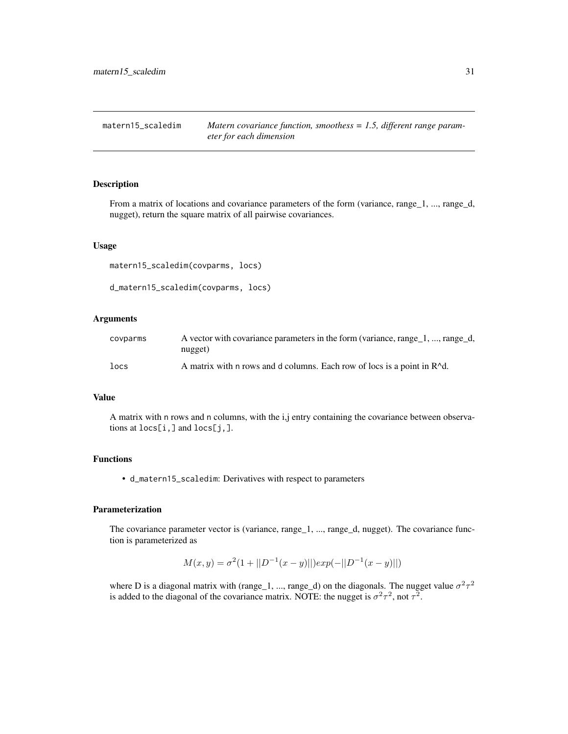<span id="page-30-1"></span><span id="page-30-0"></span>matern15\_scaledim *Matern covariance function, smoothess = 1.5, different range parameter for each dimension*

### Description

From a matrix of locations and covariance parameters of the form (variance, range\_1, ..., range\_d, nugget), return the square matrix of all pairwise covariances.

#### Usage

matern15\_scaledim(covparms, locs)

```
d_matern15_scaledim(covparms, locs)
```
#### Arguments

| covparms | A vector with covariance parameters in the form (variance, range_1, , range_d,       |
|----------|--------------------------------------------------------------------------------------|
|          | nugget)                                                                              |
| locs     | A matrix with n rows and d columns. Each row of locs is a point in R <sup>^d</sup> . |

### Value

A matrix with n rows and n columns, with the i,j entry containing the covariance between observations at locs[i,] and locs[j,].

### Functions

• d\_matern15\_scaledim: Derivatives with respect to parameters

### Parameterization

The covariance parameter vector is (variance, range\_1, ..., range\_d, nugget). The covariance function is parameterized as

$$
M(x, y) = \sigma^{2}(1 + ||D^{-1}(x - y)||)exp(-||D^{-1}(x - y)||)
$$

where D is a diagonal matrix with (range 1, ..., range 1) on the diagonals. The nugget value  $\sigma^2 \tau^2$ is added to the diagonal of the covariance matrix. NOTE: the nugget is  $\sigma^2 \tau^2$ , not  $\tau^2$ .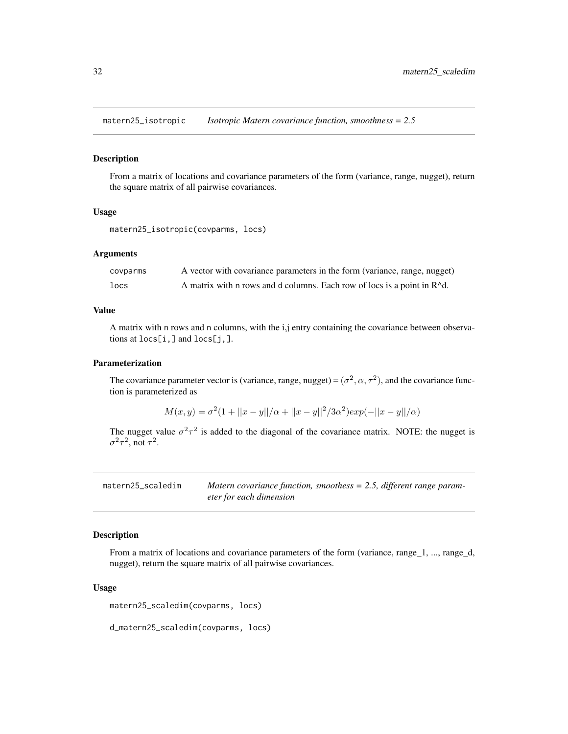<span id="page-31-1"></span><span id="page-31-0"></span>matern25\_isotropic *Isotropic Matern covariance function, smoothness = 2.5*

#### Description

From a matrix of locations and covariance parameters of the form (variance, range, nugget), return the square matrix of all pairwise covariances.

#### Usage

```
matern25_isotropic(covparms, locs)
```
#### **Arguments**

| covparms | A vector with covariance parameters in the form (variance, range, nugget)          |
|----------|------------------------------------------------------------------------------------|
| locs     | A matrix with n rows and d columns. Each row of locs is a point in $R^{\wedge}d$ . |

### Value

A matrix with n rows and n columns, with the i,j entry containing the covariance between observations at locs[i,] and locs[j,].

### Parameterization

The covariance parameter vector is (variance, range, nugget) =  $(\sigma^2, \alpha, \tau^2)$ , and the covariance function is parameterized as

$$
M(x,y) = \sigma^{2}(1+||x-y||/\alpha + ||x-y||^{2}/3\alpha^{2})exp(-||x-y||/\alpha)
$$

The nugget value  $\sigma^2 \tau^2$  is added to the diagonal of the covariance matrix. NOTE: the nugget is  $\sigma^2 \tau^2$ , not  $\tau^2$ .

<span id="page-31-2"></span>

| matern25_scaledim | Matern covariance function, smoothess $= 2.5$ , different range param- |
|-------------------|------------------------------------------------------------------------|
|                   | eter for each dimension                                                |

### Description

From a matrix of locations and covariance parameters of the form (variance, range\_1, ..., range\_d, nugget), return the square matrix of all pairwise covariances.

#### Usage

matern25\_scaledim(covparms, locs)

d\_matern25\_scaledim(covparms, locs)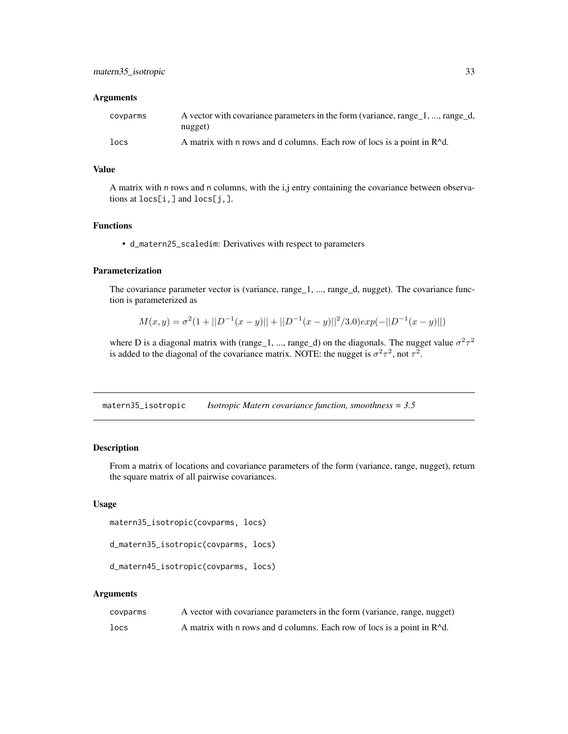#### <span id="page-32-0"></span>**Arguments**

| covparms | A vector with covariance parameters in the form (variance, range 1, , range d,       |
|----------|--------------------------------------------------------------------------------------|
|          | nugget)                                                                              |
| locs     | A matrix with n rows and d columns. Each row of locs is a point in R <sup>^d</sup> . |

### Value

A matrix with n rows and n columns, with the i,j entry containing the covariance between observations at locs[i,] and locs[j,].

### Functions

• d\_matern25\_scaledim: Derivatives with respect to parameters

### Parameterization

The covariance parameter vector is (variance, range\_1, ..., range\_d, nugget). The covariance function is parameterized as

$$
M(x,y) = \sigma^{2}(1+||D^{-1}(x-y)||+||D^{-1}(x-y)||^{2}/3.0)exp(-||D^{-1}(x-y)||)
$$

where D is a diagonal matrix with (range 1, ..., range 1) on the diagonals. The nugget value  $\sigma^2 \tau^2$ is added to the diagonal of the covariance matrix. NOTE: the nugget is  $\sigma^2 \tau^2$ , not  $\tau^2$ .

<span id="page-32-1"></span>matern35\_isotropic *Isotropic Matern covariance function, smoothness = 3.5*

#### Description

From a matrix of locations and covariance parameters of the form (variance, range, nugget), return the square matrix of all pairwise covariances.

### Usage

```
matern35_isotropic(covparms, locs)
```

```
d_matern35_isotropic(covparms, locs)
```

```
d_matern45_isotropic(covparms, locs)
```

| covparms | A vector with covariance parameters in the form (variance, range, nugget)          |
|----------|------------------------------------------------------------------------------------|
| locs     | A matrix with n rows and d columns. Each row of locs is a point in $R^{\wedge}d$ . |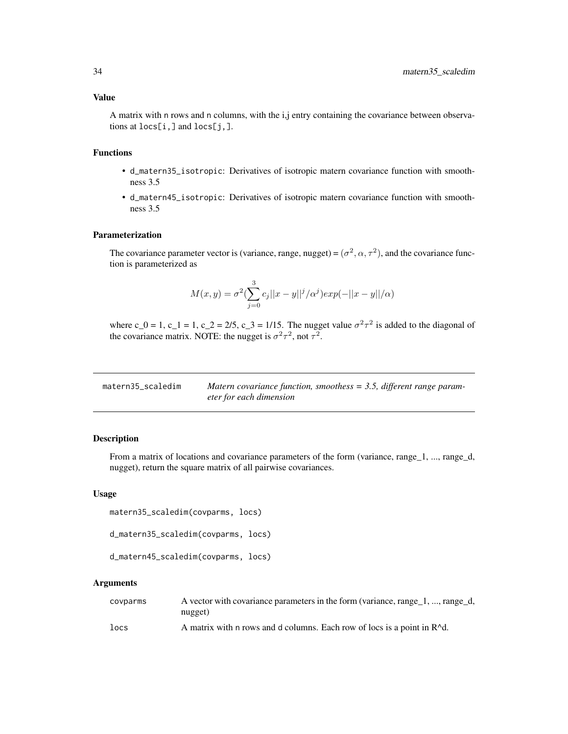<span id="page-33-0"></span>A matrix with n rows and n columns, with the i,j entry containing the covariance between observations at locs[i,] and locs[j,].

### Functions

- d\_matern35\_isotropic: Derivatives of isotropic matern covariance function with smoothness 3.5
- d\_matern45\_isotropic: Derivatives of isotropic matern covariance function with smoothness 3.5

### Parameterization

The covariance parameter vector is (variance, range, nugget) =  $(\sigma^2, \alpha, \tau^2)$ , and the covariance function is parameterized as

$$
M(x,y)=\sigma^2(\sum_{j=0}^3c_j||x-y||^j/\alpha^j)exp(-||x-y||/\alpha)
$$

where c\_0 = 1, c\_1 = 1, c\_2 = 2/5, c\_3 = 1/15. The nugget value  $\sigma^2 \tau^2$  is added to the diagonal of the covariance matrix. NOTE: the nugget is  $\sigma^2 \tau^2$ , not  $\tau^2$ .

<span id="page-33-1"></span>

| matern35_scaledim | Matern covariance function, smoothess $=$ 3.5, different range param- |
|-------------------|-----------------------------------------------------------------------|
|                   | eter for each dimension                                               |

### Description

From a matrix of locations and covariance parameters of the form (variance, range\_1, ..., range\_d, nugget), return the square matrix of all pairwise covariances.

#### Usage

```
matern35_scaledim(covparms, locs)
```
d\_matern35\_scaledim(covparms, locs)

```
d_matern45_scaledim(covparms, locs)
```

| covparms | A vector with covariance parameters in the form (variance, range_1, , range_d,       |
|----------|--------------------------------------------------------------------------------------|
|          | nugget)                                                                              |
| locs     | A matrix with n rows and d columns. Each row of locs is a point in R <sup>^</sup> d. |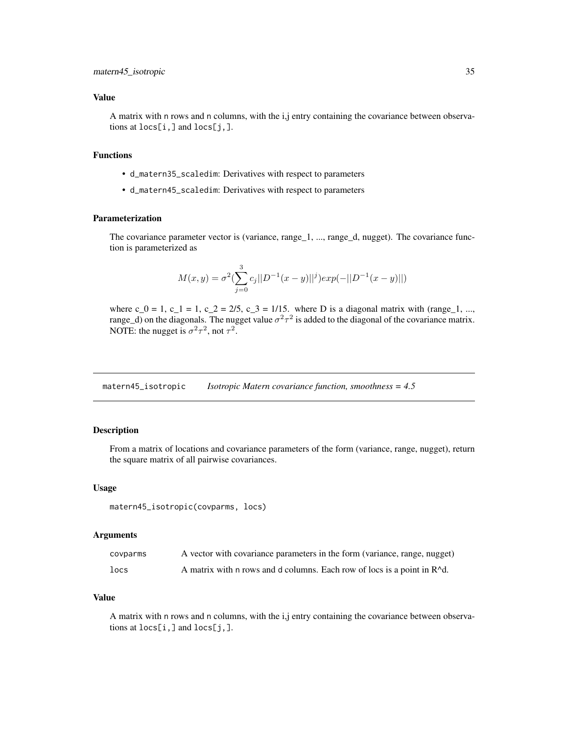### <span id="page-34-0"></span>Value

A matrix with n rows and n columns, with the i,j entry containing the covariance between observations at locs[i,] and locs[j,].

### Functions

- d\_matern35\_scaledim: Derivatives with respect to parameters
- d\_matern45\_scaledim: Derivatives with respect to parameters

### Parameterization

The covariance parameter vector is (variance, range\_1, ..., range\_d, nugget). The covariance function is parameterized as

$$
M(x,y) = \sigma^{2} \left( \sum_{j=0}^{3} c_{j} ||D^{-1}(x-y)||^{j} \right) \exp(-||D^{-1}(x-y)||)
$$

where c<sub>-</sub>0 = 1, c<sub>-</sub>1 = 1, c<sub>-</sub>2 = 2/5, c<sub>-</sub>3 = 1/15. where D is a diagonal matrix with (range<sub>-1</sub>, ..., range\_d) on the diagonals. The nugget value  $\sigma^2 \tau^2$  is added to the diagonal of the covariance matrix. NOTE: the nugget is  $\sigma^2 \tau^2$ , not  $\tau^2$ .

<span id="page-34-1"></span>matern45\_isotropic *Isotropic Matern covariance function, smoothness = 4.5*

#### Description

From a matrix of locations and covariance parameters of the form (variance, range, nugget), return the square matrix of all pairwise covariances.

#### Usage

```
matern45_isotropic(covparms, locs)
```
### Arguments

| covparms | A vector with covariance parameters in the form (variance, range, nugget)          |
|----------|------------------------------------------------------------------------------------|
| locs     | A matrix with n rows and d columns. Each row of locs is a point in $R^{\wedge}d$ . |

### Value

A matrix with n rows and n columns, with the i,j entry containing the covariance between observations at locs[i,] and locs[j,].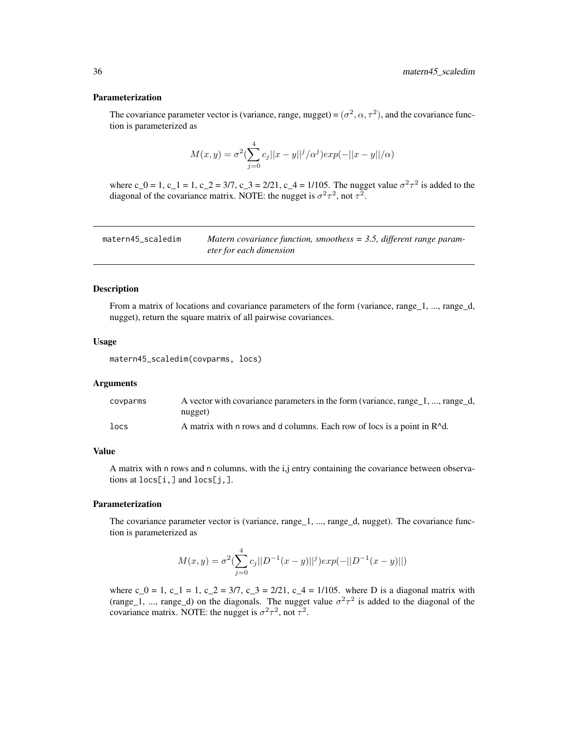#### <span id="page-35-0"></span>Parameterization

The covariance parameter vector is (variance, range, nugget) =  $(\sigma^2, \alpha, \tau^2)$ , and the covariance function is parameterized as

$$
M(x, y) = \sigma^{2} \left( \sum_{j=0}^{4} c_{j} ||x - y||^{j} / \alpha^{j} \right) exp(-||x - y|| / \alpha)
$$

where c\_0 = 1, c\_1 = 1, c\_2 = 3/7, c\_3 = 2/21, c\_4 = 1/105. The nugget value  $\sigma^2 \tau^2$  is added to the diagonal of the covariance matrix. NOTE: the nugget is  $\sigma^2 \tau^2$ , not  $\tau^2$ .

<span id="page-35-1"></span>

| matern45_scaledim | Matern covariance function, smoothess $=$ 3.5, different range param- |
|-------------------|-----------------------------------------------------------------------|
|                   | eter for each dimension                                               |

#### Description

From a matrix of locations and covariance parameters of the form (variance, range\_1, ..., range\_d, nugget), return the square matrix of all pairwise covariances.

### Usage

matern45\_scaledim(covparms, locs)

#### Arguments

| covparms | A vector with covariance parameters in the form (variance, range_1, , range_d,       |
|----------|--------------------------------------------------------------------------------------|
|          | nugget)                                                                              |
| locs     | A matrix with n rows and d columns. Each row of locs is a point in R <sup>^d</sup> . |

### Value

A matrix with n rows and n columns, with the i,j entry containing the covariance between observations at locs[i,] and locs[j,].

#### Parameterization

The covariance parameter vector is (variance, range\_1, ..., range\_d, nugget). The covariance function is parameterized as

$$
M(x,y) = \sigma^{2} \left( \sum_{j=0}^{4} c_{j} ||D^{-1}(x-y)||^{j} \right) \exp(-||D^{-1}(x-y)||)
$$

where c\_0 = 1, c\_1 = 1, c\_2 = 3/7, c\_3 = 2/21, c\_4 = 1/105. where D is a diagonal matrix with (range 1, ..., range 1) on the diagonals. The nugget value  $\sigma^2 \tau^2$  is added to the diagonal of the covariance matrix. NOTE: the nugget is  $\sigma^2 \tau^2$ , not  $\tau^2$ .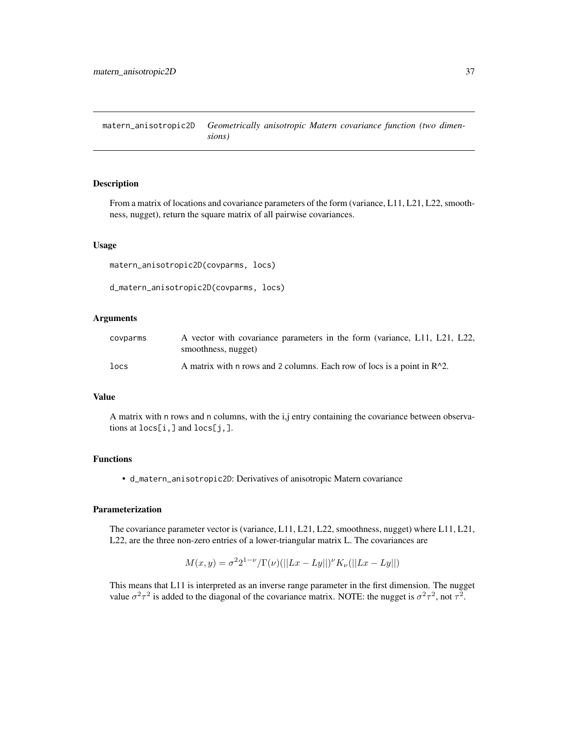<span id="page-36-1"></span><span id="page-36-0"></span>matern\_anisotropic2D *Geometrically anisotropic Matern covariance function (two dimensions)*

### Description

From a matrix of locations and covariance parameters of the form (variance, L11, L21, L22, smoothness, nugget), return the square matrix of all pairwise covariances.

#### Usage

```
matern_anisotropic2D(covparms, locs)
```

```
d_matern_anisotropic2D(covparms, locs)
```
#### Arguments

| covparms | A vector with covariance parameters in the form (variance, L11, L21, L22,  |
|----------|----------------------------------------------------------------------------|
|          | smoothness, nugget)                                                        |
| locs     | A matrix with n rows and 2 columns. Each row of locs is a point in $R^2$ . |

### Value

A matrix with n rows and n columns, with the i,j entry containing the covariance between observations at locs[i,] and locs[j,].

### Functions

• d\_matern\_anisotropic2D: Derivatives of anisotropic Matern covariance

### Parameterization

The covariance parameter vector is (variance, L11, L21, L22, smoothness, nugget) where L11, L21, L22, are the three non-zero entries of a lower-triangular matrix L. The covariances are

$$
M(x, y) = \sigma^2 2^{1-\nu} / \Gamma(\nu) (||Lx - Ly||)^{\nu} K_{\nu} (||Lx - Ly||)
$$

This means that L11 is interpreted as an inverse range parameter in the first dimension. The nugget value  $\sigma^2 \tau^2$  is added to the diagonal of the covariance matrix. NOTE: the nugget is  $\sigma^2 \tau^2$ , not  $\tau^2$ .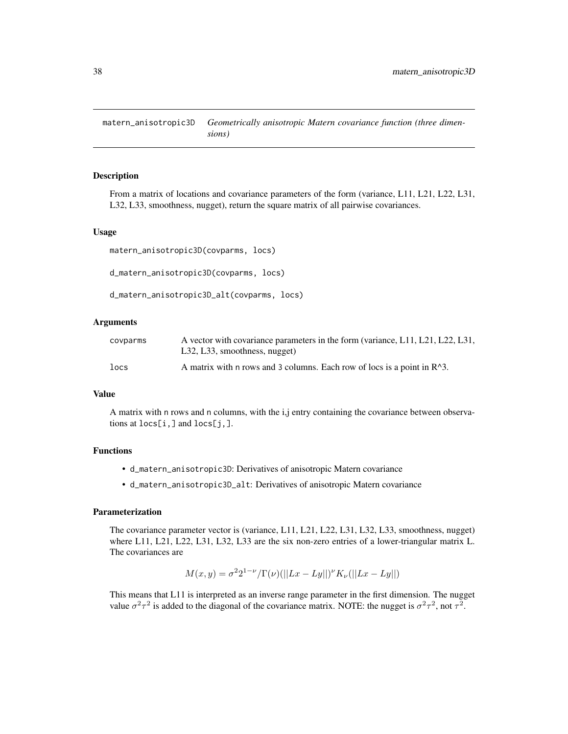<span id="page-37-1"></span><span id="page-37-0"></span>matern\_anisotropic3D *Geometrically anisotropic Matern covariance function (three dimensions)*

#### Description

From a matrix of locations and covariance parameters of the form (variance, L11, L21, L22, L31, L32, L33, smoothness, nugget), return the square matrix of all pairwise covariances.

#### Usage

```
matern_anisotropic3D(covparms, locs)
```

```
d_matern_anisotropic3D(covparms, locs)
```

```
d_matern_anisotropic3D_alt(covparms, locs)
```
### Arguments

| covparms | A vector with covariance parameters in the form (variance, L11, L21, L22, L31,       |
|----------|--------------------------------------------------------------------------------------|
|          | L32, L33, smoothness, nugget)                                                        |
| locs     | A matrix with n rows and 3 columns. Each row of locs is a point in R <sup>^3</sup> . |

#### Value

A matrix with n rows and n columns, with the i,j entry containing the covariance between observations at locs[i,] and locs[j,].

### Functions

- d\_matern\_anisotropic3D: Derivatives of anisotropic Matern covariance
- d\_matern\_anisotropic3D\_alt: Derivatives of anisotropic Matern covariance

### Parameterization

The covariance parameter vector is (variance, L11, L21, L22, L31, L32, L33, smoothness, nugget) where L11, L21, L22, L31, L32, L33 are the six non-zero entries of a lower-triangular matrix L. The covariances are

$$
M(x,y) = \sigma^2 2^{1-\nu} / \Gamma(\nu) (||Lx - Ly||)^{\nu} K_{\nu} (||Lx - Ly||)
$$

This means that L11 is interpreted as an inverse range parameter in the first dimension. The nugget value  $\sigma^2 \tau^2$  is added to the diagonal of the covariance matrix. NOTE: the nugget is  $\sigma^2 \tau^2$ , not  $\tau^2$ .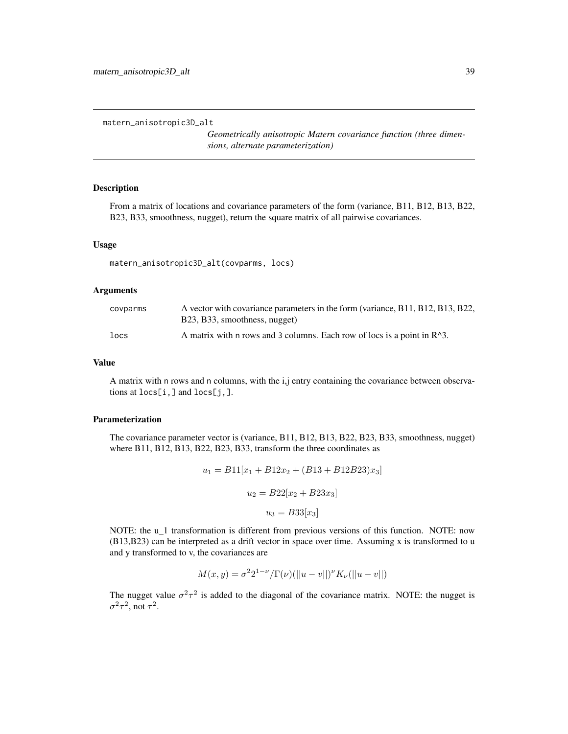```
matern_anisotropic3D_alt
```
*Geometrically anisotropic Matern covariance function (three dimensions, alternate parameterization)*

### **Description**

From a matrix of locations and covariance parameters of the form (variance, B11, B12, B13, B22, B23, B33, smoothness, nugget), return the square matrix of all pairwise covariances.

### Usage

```
matern_anisotropic3D_alt(covparms, locs)
```
### Arguments

| covparms | A vector with covariance parameters in the form (variance, B11, B12, B13, B22, |
|----------|--------------------------------------------------------------------------------|
|          | B23, B33, smoothness, nugget)                                                  |
| locs     | A matrix with n rows and 3 columns. Each row of locs is a point in $R^3$ .     |

#### Value

A matrix with n rows and n columns, with the i,j entry containing the covariance between observations at locs[i,] and locs[j,].

#### Parameterization

The covariance parameter vector is (variance, B11, B12, B13, B22, B23, B33, smoothness, nugget) where B11, B12, B13, B22, B23, B33, transform the three coordinates as

$$
u_1 = B11[x_1 + B12x_2 + (B13 + B12B23)x_3]
$$

$$
u_2 = B22[x_2 + B23x_3]
$$

$$
u_3 = B33[x_3]
$$

NOTE: the u\_1 transformation is different from previous versions of this function. NOTE: now  $(B13,B23)$  can be interpreted as a drift vector in space over time. Assuming x is transformed to u and y transformed to v, the covariances are

$$
M(x,y) = \sigma^2 2^{1-\nu} / \Gamma(\nu) (||u - v||)^{\nu} K_{\nu}(||u - v||)
$$

The nugget value  $\sigma^2 \tau^2$  is added to the diagonal of the covariance matrix. NOTE: the nugget is  $\sigma^2 \tau^2$ , not  $\tau^2$ .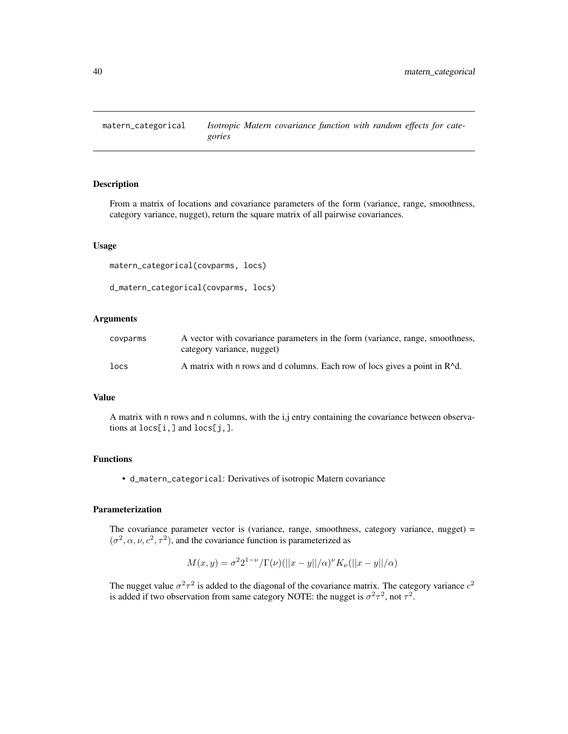<span id="page-39-0"></span>

### Description

From a matrix of locations and covariance parameters of the form (variance, range, smoothness, category variance, nugget), return the square matrix of all pairwise covariances.

#### Usage

```
matern_categorical(covparms, locs)
```

```
d_matern_categorical(covparms, locs)
```
### Arguments

| covparms | A vector with covariance parameters in the form (variance, range, smoothness,           |
|----------|-----------------------------------------------------------------------------------------|
|          | category variance, nugget)                                                              |
| locs     | A matrix with n rows and d columns. Each row of locs gives a point in R <sup>^d</sup> . |

### Value

A matrix with n rows and n columns, with the i,j entry containing the covariance between observations at locs[i,] and locs[j,].

### Functions

• d\_matern\_categorical: Derivatives of isotropic Matern covariance

### Parameterization

The covariance parameter vector is (variance, range, smoothness, category variance, nugget) =  $(\sigma^2, \alpha, \nu, c^2, \tau^2)$ , and the covariance function is parameterized as

$$
M(x,y) = \sigma^2 2^{1-\nu} / \Gamma(\nu) (||x-y||/\alpha)^{\nu} K_{\nu} (||x-y||/\alpha)
$$

The nugget value  $\sigma^2 \tau^2$  is added to the diagonal of the covariance matrix. The category variance  $c^2$ is added if two observation from same category NOTE: the nugget is  $\sigma^2 \tau^2$ , not  $\tau^2$ .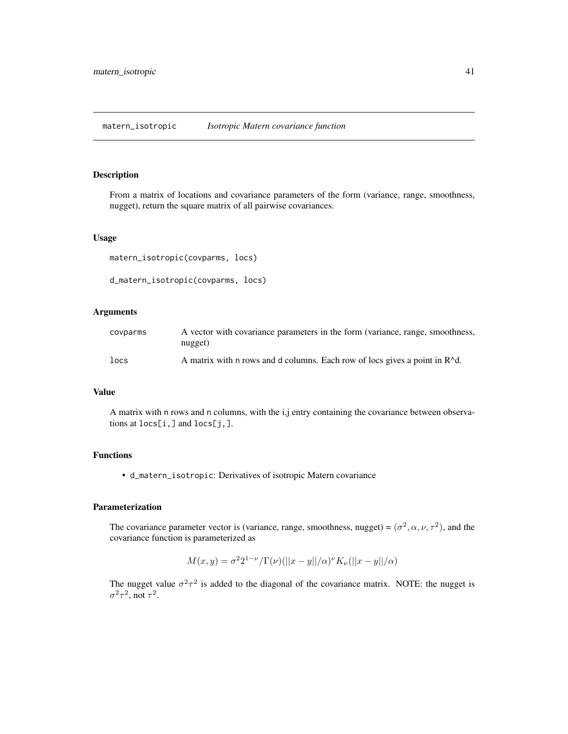#### <span id="page-40-1"></span><span id="page-40-0"></span>Description

From a matrix of locations and covariance parameters of the form (variance, range, smoothness, nugget), return the square matrix of all pairwise covariances.

#### Usage

```
matern_isotropic(covparms, locs)
d_matern_isotropic(covparms, locs)
```
### Arguments

| covparms | A vector with covariance parameters in the form (variance, range, smoothness,<br>nugget) |
|----------|------------------------------------------------------------------------------------------|
| locs     | A matrix with n rows and d columns. Each row of locs gives a point in R <sup>^</sup> d.  |

### Value

A matrix with n rows and n columns, with the i,j entry containing the covariance between observations at locs[i,] and locs[j,].

### Functions

• d\_matern\_isotropic: Derivatives of isotropic Matern covariance

### Parameterization

The covariance parameter vector is (variance, range, smoothness, nugget) =  $(\sigma^2, \alpha, \nu, \tau^2)$ , and the covariance function is parameterized as

$$
M(x, y) = \sigma^{2} 2^{1-\nu} / \Gamma(\nu) (||x - y||/\alpha)^{\nu} K_{\nu} (||x - y||/\alpha)
$$

The nugget value  $\sigma^2 \tau^2$  is added to the diagonal of the covariance matrix. NOTE: the nugget is  $\sigma^2 \tau^2$ , not  $\tau^2$ .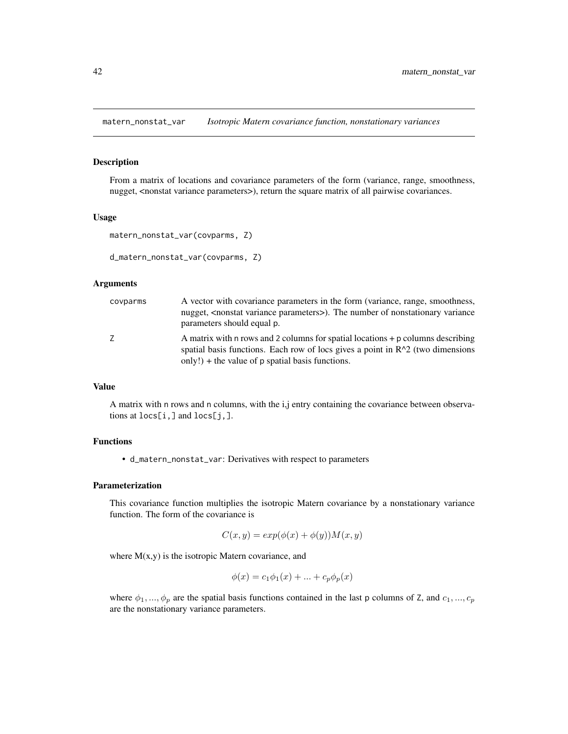<span id="page-41-1"></span><span id="page-41-0"></span>matern\_nonstat\_var *Isotropic Matern covariance function, nonstationary variances*

### Description

From a matrix of locations and covariance parameters of the form (variance, range, smoothness, nugget, <nonstat variance parameters>), return the square matrix of all pairwise covariances.

#### Usage

```
matern_nonstat_var(covparms, Z)
```

```
d_matern_nonstat_var(covparms, Z)
```
#### Arguments

| covparms | A vector with covariance parameters in the form (variance, range, smoothness,<br>nugget, <nonstat parameters="" variance="">). The number of nonstationary variance<br/>parameters should equal p.</nonstat>              |
|----------|---------------------------------------------------------------------------------------------------------------------------------------------------------------------------------------------------------------------------|
| 7        | A matrix with n rows and 2 columns for spatial locations + p columns describing<br>spatial basis functions. Each row of locs gives a point in $R^2$ (two dimensions<br>only!) + the value of $p$ spatial basis functions. |

#### Value

A matrix with n rows and n columns, with the i,j entry containing the covariance between observations at locs[i,] and locs[j,].

### Functions

• d\_matern\_nonstat\_var: Derivatives with respect to parameters

### Parameterization

This covariance function multiplies the isotropic Matern covariance by a nonstationary variance function. The form of the covariance is

$$
C(x, y) = exp(\phi(x) + \phi(y))M(x, y)
$$

where  $M(x, y)$  is the isotropic Matern covariance, and

$$
\phi(x) = c_1 \phi_1(x) + \dots + c_p \phi_p(x)
$$

where  $\phi_1, ..., \phi_p$  are the spatial basis functions contained in the last p columns of Z, and  $c_1, ..., c_p$ are the nonstationary variance parameters.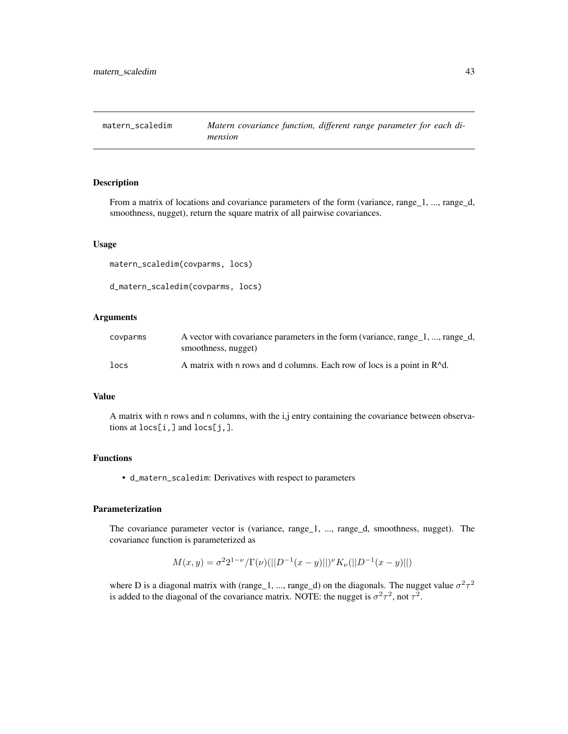<span id="page-42-1"></span><span id="page-42-0"></span>

### Description

From a matrix of locations and covariance parameters of the form (variance, range\_1, ..., range\_d, smoothness, nugget), return the square matrix of all pairwise covariances.

#### Usage

matern\_scaledim(covparms, locs)

```
d_matern_scaledim(covparms, locs)
```
#### Arguments

| covparms  | A vector with covariance parameters in the form (variance, range_1, , range_d,       |
|-----------|--------------------------------------------------------------------------------------|
|           | smoothness, nugget)                                                                  |
| $_{locs}$ | A matrix with n rows and d columns. Each row of locs is a point in R <sup>^d</sup> . |

#### Value

A matrix with n rows and n columns, with the i,j entry containing the covariance between observations at locs[i,] and locs[j,].

### Functions

• d\_matern\_scaledim: Derivatives with respect to parameters

#### Parameterization

The covariance parameter vector is (variance, range\_1, ..., range\_d, smoothness, nugget). The covariance function is parameterized as

$$
M(x,y) = \sigma^{2} 2^{1-\nu} / \Gamma(\nu) (||D^{-1}(x-y)||)^{\nu} K_{\nu} (||D^{-1}(x-y)||)
$$

where D is a diagonal matrix with (range 1, ..., range 1) on the diagonals. The nugget value  $\sigma^2 \tau^2$ is added to the diagonal of the covariance matrix. NOTE: the nugget is  $\sigma^2 \tau^2$ , not  $\tau^2$ .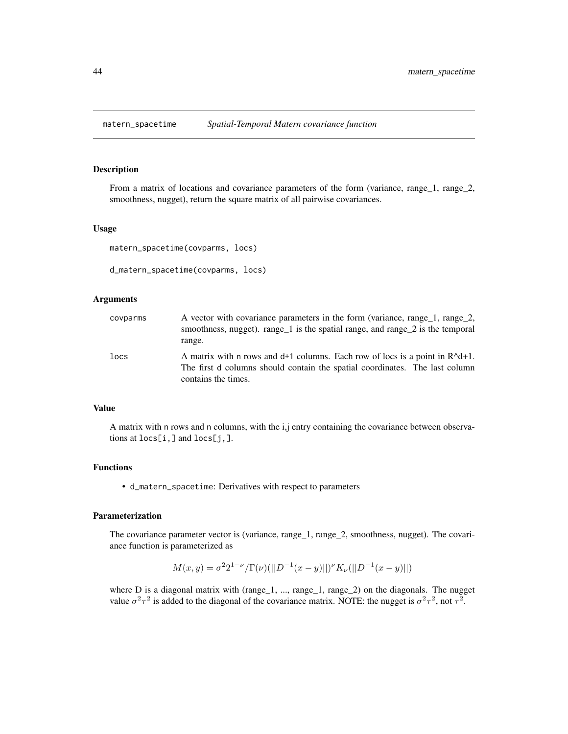<span id="page-43-1"></span><span id="page-43-0"></span>

### Description

From a matrix of locations and covariance parameters of the form (variance, range\_1, range\_2, smoothness, nugget), return the square matrix of all pairwise covariances.

### Usage

```
matern_spacetime(covparms, locs)
```

```
d_matern_spacetime(covparms, locs)
```
#### Arguments

| covparms | A vector with covariance parameters in the form (variance, range_1, range_2,<br>smoothness, nugget). range $\geq 1$ is the spatial range, and range $\geq 2$ is the temporal<br>range. |
|----------|----------------------------------------------------------------------------------------------------------------------------------------------------------------------------------------|
| locs     | A matrix with n rows and $d+1$ columns. Each row of locs is a point in $R^d+1$ .<br>The first d columns should contain the spatial coordinates. The last column<br>contains the times. |

### Value

A matrix with n rows and n columns, with the i,j entry containing the covariance between observations at locs[i,] and locs[j,].

#### Functions

• d\_matern\_spacetime: Derivatives with respect to parameters

### Parameterization

The covariance parameter vector is (variance, range\_1, range\_2, smoothness, nugget). The covariance function is parameterized as

$$
M(x,y) = \sigma^2 2^{1-\nu} / \Gamma(\nu) (||D^{-1}(x-y)||)^{\nu} K_{\nu} (||D^{-1}(x-y)||)
$$

where D is a diagonal matrix with (range\_1, ..., range\_1, range\_2) on the diagonals. The nugget value  $\sigma^2 \tau^2$  is added to the diagonal of the covariance matrix. NOTE: the nugget is  $\sigma^2 \tau^2$ , not  $\tau^2$ .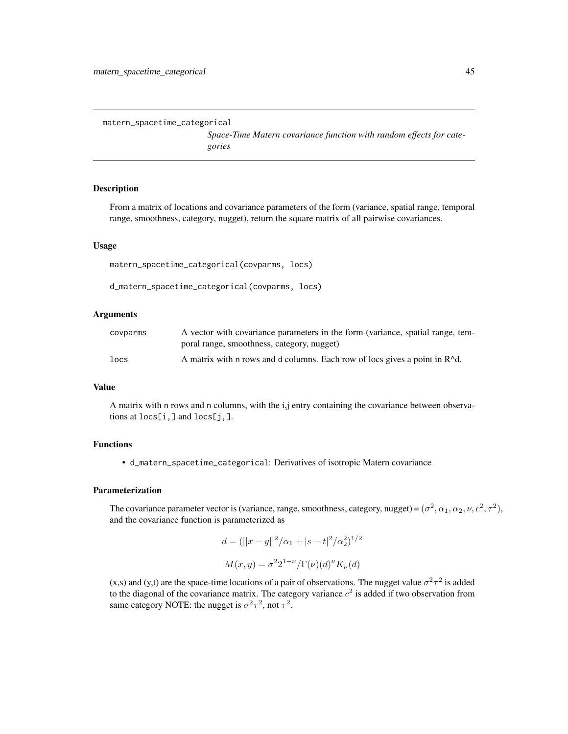```
matern_spacetime_categorical
```
*Space-Time Matern covariance function with random effects for categories*

### Description

From a matrix of locations and covariance parameters of the form (variance, spatial range, temporal range, smoothness, category, nugget), return the square matrix of all pairwise covariances.

#### Usage

```
matern_spacetime_categorical(covparms, locs)
```

```
d_matern_spacetime_categorical(covparms, locs)
```
### Arguments

| covparms | A vector with covariance parameters in the form (variance, spatial range, tem-          |
|----------|-----------------------------------------------------------------------------------------|
|          | poral range, smoothness, category, nugget)                                              |
| locs     | A matrix with n rows and d columns. Each row of locs gives a point in R <sup>^</sup> d. |

### Value

A matrix with n rows and n columns, with the i,j entry containing the covariance between observations at locs[i,] and locs[j,].

### Functions

• d\_matern\_spacetime\_categorical: Derivatives of isotropic Matern covariance

#### Parameterization

The covariance parameter vector is (variance, range, smoothness, category, nugget) =  $(\sigma^2, \alpha_1, \alpha_2, \nu, c^2, \tau^2)$ , and the covariance function is parameterized as

$$
d = (||x - y||^2/\alpha_1 + |s - t|^2/\alpha_2^2)^{1/2}
$$

$$
M(x, y) = \sigma^2 2^{1-\nu} / \Gamma(\nu) (d)^{\nu} K_{\nu}(d)
$$

(x,s) and (y,t) are the space-time locations of a pair of observations. The nugget value  $\sigma^2 \tau^2$  is added to the diagonal of the covariance matrix. The category variance  $c^2$  is added if two observation from same category NOTE: the nugget is  $\sigma^2 \tau^2$ , not  $\tau^2$ .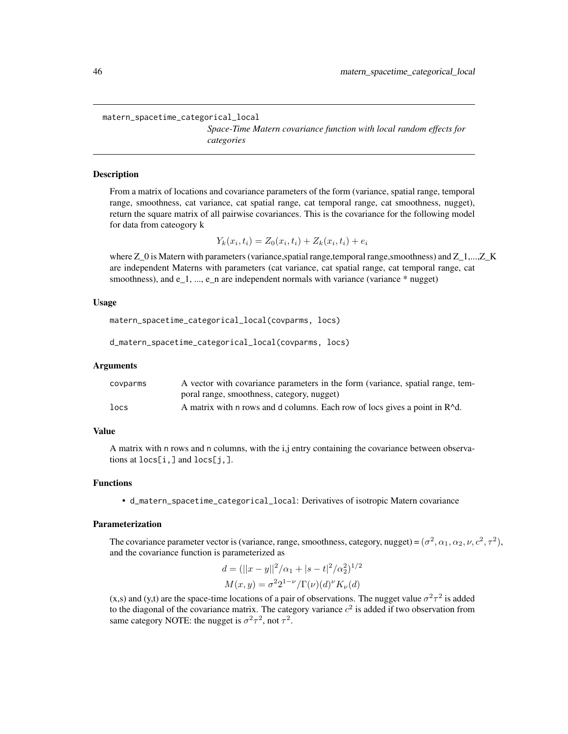<span id="page-45-0"></span>matern\_spacetime\_categorical\_local

*Space-Time Matern covariance function with local random effects for categories*

#### **Description**

From a matrix of locations and covariance parameters of the form (variance, spatial range, temporal range, smoothness, cat variance, cat spatial range, cat temporal range, cat smoothness, nugget), return the square matrix of all pairwise covariances. This is the covariance for the following model for data from cateogory k

 $Y_k(x_i, t_i) = Z_0(x_i, t_i) + Z_k(x_i, t_i) + e_i$ 

where Z\_0 is Matern with parameters (variance, spatial range, temporal range, smoothness) and Z\_1,...,Z\_K are independent Materns with parameters (cat variance, cat spatial range, cat temporal range, cat smoothness), and  $e_1$ , ...,  $e_n$  are independent normals with variance (variance  $*$  nugget)

#### Usage

```
matern_spacetime_categorical_local(covparms, locs)
```
d\_matern\_spacetime\_categorical\_local(covparms, locs)

#### Arguments

| covparms | A vector with covariance parameters in the form (variance, spatial range, tem-          |
|----------|-----------------------------------------------------------------------------------------|
|          | poral range, smoothness, category, nugget)                                              |
| locs     | A matrix with n rows and d columns. Each row of locs gives a point in R <sup>^d</sup> . |

#### Value

A matrix with n rows and n columns, with the i,j entry containing the covariance between observations at locs[i,] and locs[j,].

#### Functions

• d\_matern\_spacetime\_categorical\_local: Derivatives of isotropic Matern covariance

#### Parameterization

The covariance parameter vector is (variance, range, smoothness, category, nugget) =  $(\sigma^2, \alpha_1, \alpha_2, \nu, c^2, \tau^2)$ , and the covariance function is parameterized as

$$
d = (||x - y||^2/\alpha_1 + |s - t|^2/\alpha_2^2)^{1/2}
$$

$$
M(x, y) = \sigma^2 2^{1-\nu} / \Gamma(\nu)(d)^{\nu} K_{\nu}(d)
$$

(x,s) and (y,t) are the space-time locations of a pair of observations. The nugget value  $\sigma^2 \tau^2$  is added to the diagonal of the covariance matrix. The category variance  $c^2$  is added if two observation from same category NOTE: the nugget is  $\sigma^2 \tau^2$ , not  $\tau^2$ .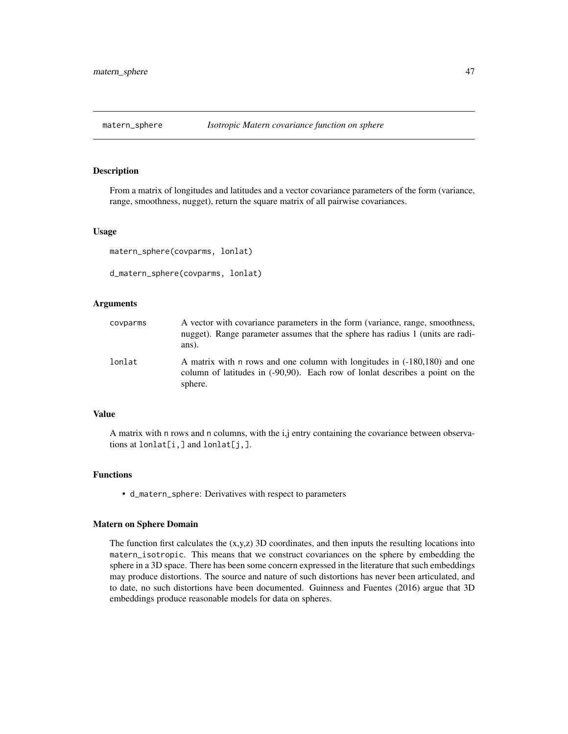<span id="page-46-1"></span><span id="page-46-0"></span>

#### Description

From a matrix of longitudes and latitudes and a vector covariance parameters of the form (variance, range, smoothness, nugget), return the square matrix of all pairwise covariances.

#### Usage

```
matern_sphere(covparms, lonlat)
```
d\_matern\_sphere(covparms, lonlat)

### Arguments

| covparms | A vector with covariance parameters in the form (variance, range, smoothness,<br>nugget). Range parameter assumes that the sphere has radius 1 (units are radi-<br>ans). |
|----------|--------------------------------------------------------------------------------------------------------------------------------------------------------------------------|
| lonlat   | A matrix with n rows and one column with longitudes in (-180,180) and one<br>column of latitudes in (-90,90). Each row of lonlat describes a point on the<br>sphere.     |

### Value

A matrix with n rows and n columns, with the i,j entry containing the covariance between observations at  $l$ onlat $[i, j]$  and  $l$ onlat $[j, j]$ .

### Functions

• d\_matern\_sphere: Derivatives with respect to parameters

#### Matern on Sphere Domain

The function first calculates the  $(x,y,z)$  3D coordinates, and then inputs the resulting locations into matern\_isotropic. This means that we construct covariances on the sphere by embedding the sphere in a 3D space. There has been some concern expressed in the literature that such embeddings may produce distortions. The source and nature of such distortions has never been articulated, and to date, no such distortions have been documented. Guinness and Fuentes (2016) argue that 3D embeddings produce reasonable models for data on spheres.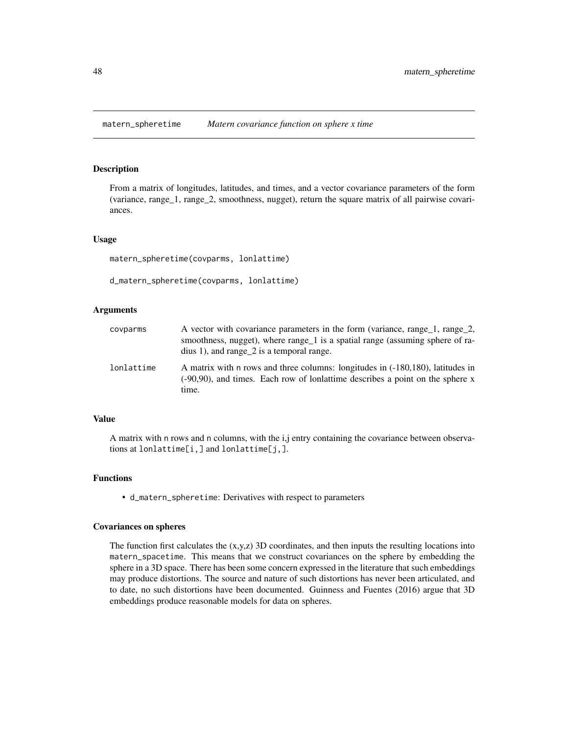### <span id="page-47-1"></span><span id="page-47-0"></span>Description

From a matrix of longitudes, latitudes, and times, and a vector covariance parameters of the form (variance, range\_1, range\_2, smoothness, nugget), return the square matrix of all pairwise covariances.

#### Usage

matern\_spheretime(covparms, lonlattime)

```
d_matern_spheretime(covparms, lonlattime)
```
#### Arguments

| covparms   | A vector with covariance parameters in the form (variance, range_1, range_2,<br>smoothness, nugget), where range 1 is a spatial range (assuming sphere of ra-<br>dius 1), and range $2$ is a temporal range. |
|------------|--------------------------------------------------------------------------------------------------------------------------------------------------------------------------------------------------------------|
| lonlattime | A matrix with n rows and three columns: longitudes in (-180,180), latitudes in<br>(-90,90), and times. Each row of lonlattime describes a point on the sphere x<br>time.                                     |

### Value

A matrix with n rows and n columns, with the i,j entry containing the covariance between observations at lonlattime[i,] and lonlattime[j,].

#### Functions

• d\_matern\_spheretime: Derivatives with respect to parameters

#### Covariances on spheres

The function first calculates the  $(x,y,z)$  3D coordinates, and then inputs the resulting locations into matern\_spacetime. This means that we construct covariances on the sphere by embedding the sphere in a 3D space. There has been some concern expressed in the literature that such embeddings may produce distortions. The source and nature of such distortions has never been articulated, and to date, no such distortions have been documented. Guinness and Fuentes (2016) argue that 3D embeddings produce reasonable models for data on spheres.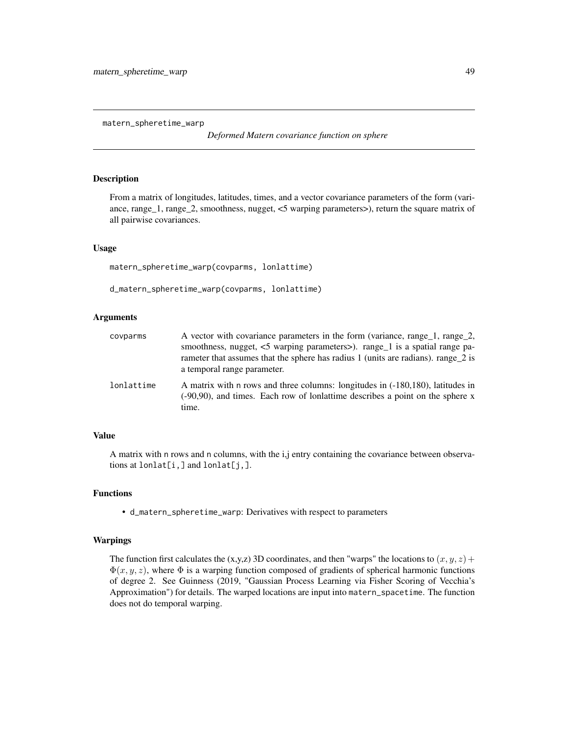<span id="page-48-1"></span><span id="page-48-0"></span>matern\_spheretime\_warp

*Deformed Matern covariance function on sphere*

### Description

From a matrix of longitudes, latitudes, times, and a vector covariance parameters of the form (variance, range\_1, range\_2, smoothness, nugget, <5 warping parameters>), return the square matrix of all pairwise covariances.

#### Usage

matern\_spheretime\_warp(covparms, lonlattime)

d\_matern\_spheretime\_warp(covparms, lonlattime)

#### Arguments

| covparms   | A vector with covariance parameters in the form (variance, range_1, range_2,<br>smoothness, nugget, <5 warping parameters>). range_1 is a spatial range pa-<br>rameter that assumes that the sphere has radius 1 (units are radians). range 2 is<br>a temporal range parameter. |
|------------|---------------------------------------------------------------------------------------------------------------------------------------------------------------------------------------------------------------------------------------------------------------------------------|
| lonlattime | A matrix with n rows and three columns: longitudes in (-180,180), latitudes in<br>$(-90,90)$ , and times. Each row of longatime describes a point on the sphere x<br>time.                                                                                                      |

### Value

A matrix with n rows and n columns, with the i,j entry containing the covariance between observations at  $l$ onlat $[i, j]$  and  $l$ onlat $[j, j]$ .

### Functions

• d\_matern\_spheretime\_warp: Derivatives with respect to parameters

#### Warpings

The function first calculates the (x,y,z) 3D coordinates, and then "warps" the locations to  $(x, y, z)$  +  $\Phi(x, y, z)$ , where  $\Phi$  is a warping function composed of gradients of spherical harmonic functions of degree 2. See Guinness (2019, "Gaussian Process Learning via Fisher Scoring of Vecchia's Approximation") for details. The warped locations are input into matern\_spacetime. The function does not do temporal warping.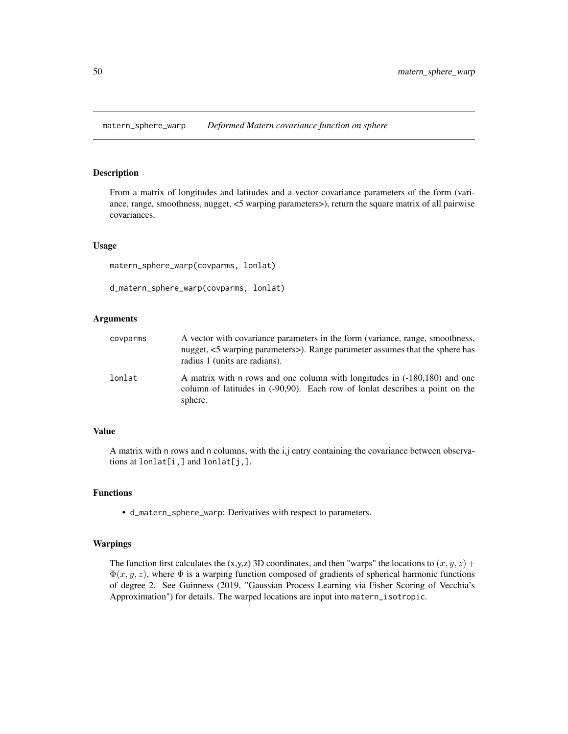<span id="page-49-1"></span><span id="page-49-0"></span>matern\_sphere\_warp *Deformed Matern covariance function on sphere*

### Description

From a matrix of longitudes and latitudes and a vector covariance parameters of the form (variance, range, smoothness, nugget, <5 warping parameters>), return the square matrix of all pairwise covariances.

#### Usage

matern\_sphere\_warp(covparms, lonlat)

```
d_matern_sphere_warp(covparms, lonlat)
```
### Arguments

| covparms | A vector with covariance parameters in the form (variance, range, smoothness,<br>nugget, <5 warping parameters>). Range parameter assumes that the sphere has<br>radius 1 (units are radians). |
|----------|------------------------------------------------------------------------------------------------------------------------------------------------------------------------------------------------|
| lonlat   | A matrix with n rows and one column with longitudes in (-180,180) and one<br>column of latitudes in (-90,90). Each row of lonlat describes a point on the<br>sphere.                           |

### Value

A matrix with n rows and n columns, with the i,j entry containing the covariance between observations at  $l$ onlat $[i, j]$  and  $l$ onlat $[j, j]$ .

### Functions

• d\_matern\_sphere\_warp: Derivatives with respect to parameters.

#### Warpings

The function first calculates the (x,y,z) 3D coordinates, and then "warps" the locations to  $(x, y, z)$  +  $\Phi(x, y, z)$ , where  $\Phi$  is a warping function composed of gradients of spherical harmonic functions of degree 2. See Guinness (2019, "Gaussian Process Learning via Fisher Scoring of Vecchia's Approximation") for details. The warped locations are input into matern\_isotropic.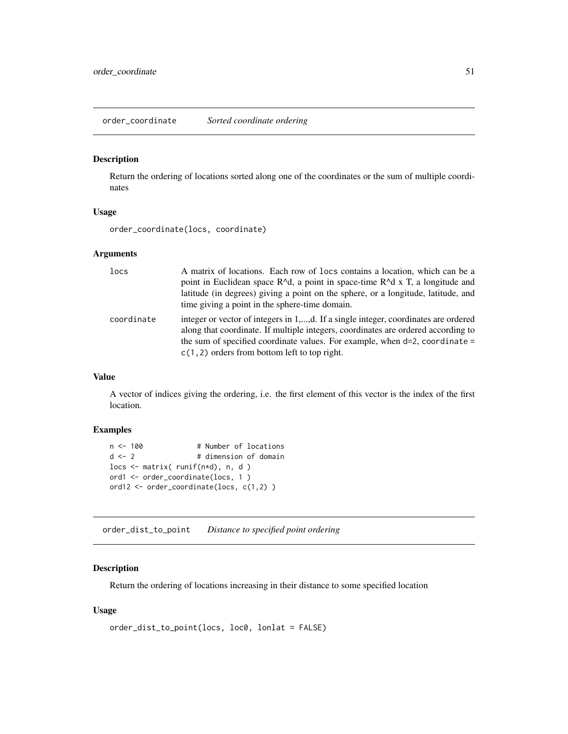<span id="page-50-0"></span>order\_coordinate *Sorted coordinate ordering*

### Description

Return the ordering of locations sorted along one of the coordinates or the sum of multiple coordinates

### Usage

order\_coordinate(locs, coordinate)

#### Arguments

| locs       | A matrix of locations. Each row of locs contains a location, which can be a<br>point in Euclidean space $R^{\wedge}d$ , a point in space-time $R^{\wedge}d \times T$ , a longitude and<br>latitude (in degrees) giving a point on the sphere, or a longitude, latitude, and<br>time giving a point in the sphere-time domain. |
|------------|-------------------------------------------------------------------------------------------------------------------------------------------------------------------------------------------------------------------------------------------------------------------------------------------------------------------------------|
| coordinate | integer or vector of integers in 1,,d. If a single integer, coordinates are ordered<br>along that coordinate. If multiple integers, coordinates are ordered according to<br>the sum of specified coordinate values. For example, when $d=2$ , coordinate =<br>$c(1, 2)$ orders from bottom left to top right.                 |

### Value

A vector of indices giving the ordering, i.e. the first element of this vector is the index of the first location.

### Examples

```
n <- 100 # Number of locations
d <- 2 # dimension of domain
locs \leq matrix( runif(n*d), n, d)
ord1 <- order_coordinate(locs, 1 )
ord12 <- order_coordinate(locs, c(1,2) )
```
order\_dist\_to\_point *Distance to specified point ordering*

### Description

Return the ordering of locations increasing in their distance to some specified location

### Usage

```
order_dist_to_point(locs, loc0, lonlat = FALSE)
```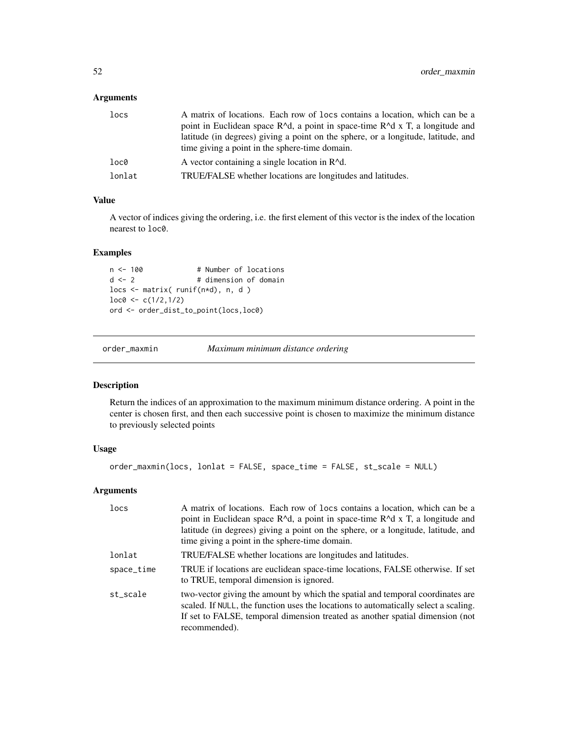### <span id="page-51-0"></span>Arguments

| locs   | A matrix of locations. Each row of locs contains a location, which can be a                       |
|--------|---------------------------------------------------------------------------------------------------|
|        | point in Euclidean space $R^{\wedge}d$ , a point in space-time $R^{\wedge}d$ x T, a longitude and |
|        | latitude (in degrees) giving a point on the sphere, or a longitude, latitude, and                 |
|        | time giving a point in the sphere-time domain.                                                    |
| loc0   | A vector containing a single location in $R^{\wedge}d$ .                                          |
| lonlat | TRUE/FALSE whether locations are longitudes and latitudes.                                        |

### Value

A vector of indices giving the ordering, i.e. the first element of this vector is the index of the location nearest to loc0.

### Examples

```
n <- 100 # Number of locations
d \le -2 # dimension of domain
locs <- matrix( runif(n*d), n, d )
loc@ <- c(1/2,1/2)ord <- order_dist_to_point(locs,loc0)
```
order\_maxmin *Maximum minimum distance ordering*

### Description

Return the indices of an approximation to the maximum minimum distance ordering. A point in the center is chosen first, and then each successive point is chosen to maximize the minimum distance to previously selected points

### Usage

```
order_maxmin(locs, lonlat = FALSE, space_time = FALSE, st_scale = NULL)
```

| locs       | A matrix of locations. Each row of locs contains a location, which can be a<br>point in Euclidean space $R^d$ , a point in space-time $R^d$ x T, a longitude and<br>latitude (in degrees) giving a point on the sphere, or a longitude, latitude, and<br>time giving a point in the sphere-time domain. |
|------------|---------------------------------------------------------------------------------------------------------------------------------------------------------------------------------------------------------------------------------------------------------------------------------------------------------|
| lonlat     | TRUE/FALSE whether locations are longitudes and latitudes.                                                                                                                                                                                                                                              |
| space_time | TRUE if locations are euclidean space-time locations, FALSE otherwise. If set<br>to TRUE, temporal dimension is ignored.                                                                                                                                                                                |
| st scale   | two-vector giving the amount by which the spatial and temporal coordinates are<br>scaled. If NULL, the function uses the locations to automatically select a scaling.<br>If set to FALSE, temporal dimension treated as another spatial dimension (not<br>recommended).                                 |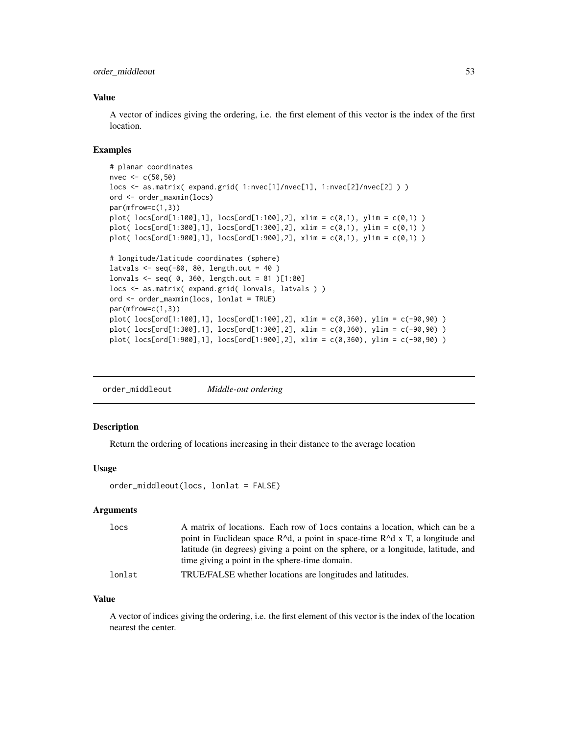<span id="page-52-0"></span>order\_middleout 53

### Value

A vector of indices giving the ordering, i.e. the first element of this vector is the index of the first location.

#### Examples

```
# planar coordinates
nvec <- c(50,50)
locs <- as.matrix( expand.grid( 1:nvec[1]/nvec[1], 1:nvec[2]/nvec[2] ) )
ord <- order_maxmin(locs)
par(mfrow=c(1,3))
plot( loc[ord[1:100], 1], loc[ord[1:100], 2], xlim = c(0,1), ylim = c(0,1))
plot( locs[ord[1:300],1], locs[ord[1:300],2], xlim = c(0,1), ylim = c(0,1) )
plot( locs[ord[1:900],1], locs[ord[1:900],2], xlim = c(0,1), ylim = c(0,1) )
# longitude/latitude coordinates (sphere)
latvals \leq seq(-80, 80, length.out = 40)
lonvals <- seq( 0, 360, length.out = 81 )[1:80]
locs <- as.matrix( expand.grid( lonvals, latvals ) )
ord <- order_maxmin(locs, lonlat = TRUE)
par(mfrow=c(1,3))
plot( locs[ord[1:100],1], locs[ord[1:100],2], xlim = c(0,360), ylim = c(-90,90) )
plot( locs[ord[1:300],1], locs[ord[1:300],2], xlim = c(0,360), ylim = c(-90,90) )
plot( locs[ord[1:900],1], locs[ord[1:900],2], xlim = c(0,360), ylim = c(-90,90) )
```
order\_middleout *Middle-out ordering*

### Description

Return the ordering of locations increasing in their distance to the average location

### Usage

```
order_middleout(locs, lonlat = FALSE)
```
#### Arguments

| locs   | A matrix of locations. Each row of locs contains a location, which can be a       |
|--------|-----------------------------------------------------------------------------------|
|        | point in Euclidean space $R^d$ , a point in space-time $R^d$ x T, a longitude and |
|        | latitude (in degrees) giving a point on the sphere, or a longitude, latitude, and |
|        | time giving a point in the sphere-time domain.                                    |
| lonlat | TRUE/FALSE whether locations are longitudes and latitudes.                        |

#### Value

A vector of indices giving the ordering, i.e. the first element of this vector is the index of the location nearest the center.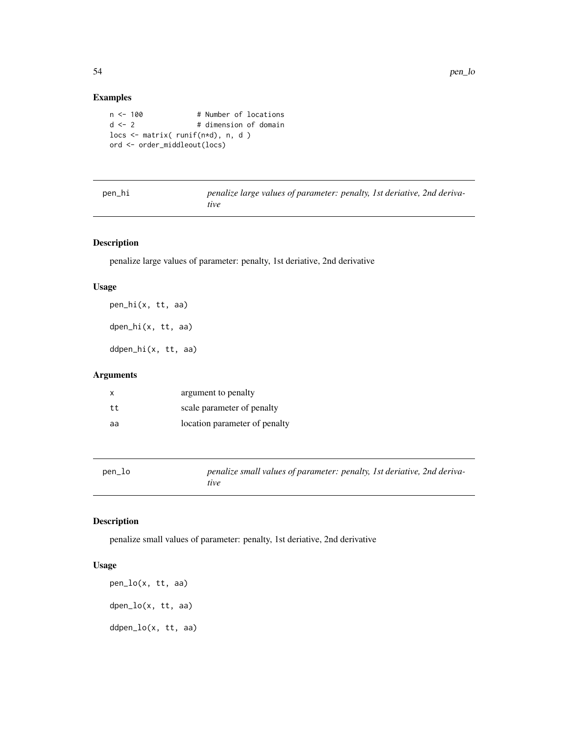### Examples

```
n <- 100 # Number of locations
d \leq 2 # dimension of domain
locs <- matrix( runif(n*d), n, d )
ord <- order_middleout(locs)
```

| pen_hi | penalize large values of parameter: penalty, 1st deriative, 2nd deriva- |  |  |
|--------|-------------------------------------------------------------------------|--|--|
|        | tive                                                                    |  |  |

### Description

penalize large values of parameter: penalty, 1st deriative, 2nd derivative

### Usage

pen\_hi(x, tt, aa) dpen\_hi(x, tt, aa)

ddpen\_hi(x, tt, aa)

### Arguments

| $\mathsf{x}$ | argument to penalty           |
|--------------|-------------------------------|
| tt           | scale parameter of penalty    |
| aa           | location parameter of penalty |

| pen_lo | penalize small values of parameter: penalty, 1st deriative, 2nd deriva- |
|--------|-------------------------------------------------------------------------|
|        | tive                                                                    |

### Description

penalize small values of parameter: penalty, 1st deriative, 2nd derivative

### Usage

pen\_lo(x, tt, aa) dpen\_lo(x, tt, aa) ddpen\_lo(x, tt, aa)

<span id="page-53-0"></span>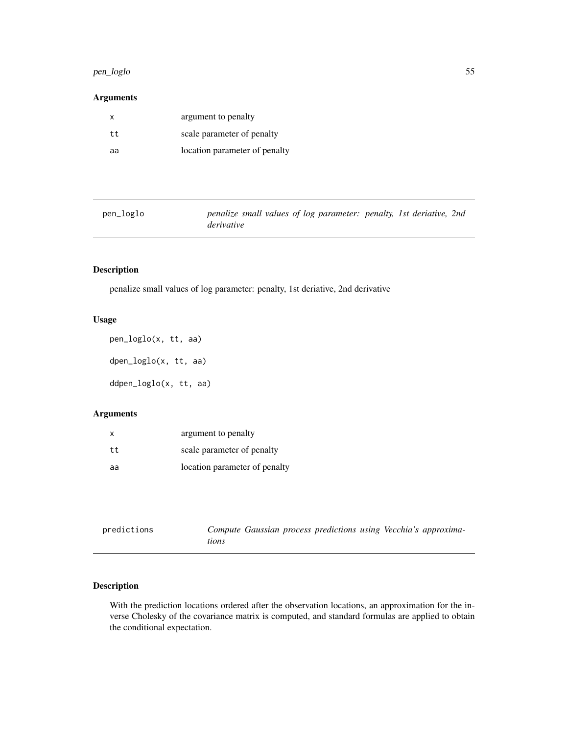#### <span id="page-54-0"></span>pen\_loglo 55

### Arguments

| x   | argument to penalty           |
|-----|-------------------------------|
| t t | scale parameter of penalty    |
| aa  | location parameter of penalty |

| pen_loglo | penalize small values of log parameter: penalty, 1st deriative, 2nd |  |
|-----------|---------------------------------------------------------------------|--|
|           | derivative                                                          |  |

### Description

penalize small values of log parameter: penalty, 1st deriative, 2nd derivative

### Usage

pen\_loglo(x, tt, aa) dpen\_loglo(x, tt, aa) ddpen\_loglo(x, tt, aa)

### Arguments

| x    | argument to penalty           |
|------|-------------------------------|
| t.t. | scale parameter of penalty    |
| aa   | location parameter of penalty |

<span id="page-54-1"></span>

| predictions | Compute Gaussian process predictions using Vecchia's approxima- |  |
|-------------|-----------------------------------------------------------------|--|
|             | tions                                                           |  |

### Description

With the prediction locations ordered after the observation locations, an approximation for the inverse Cholesky of the covariance matrix is computed, and standard formulas are applied to obtain the conditional expectation.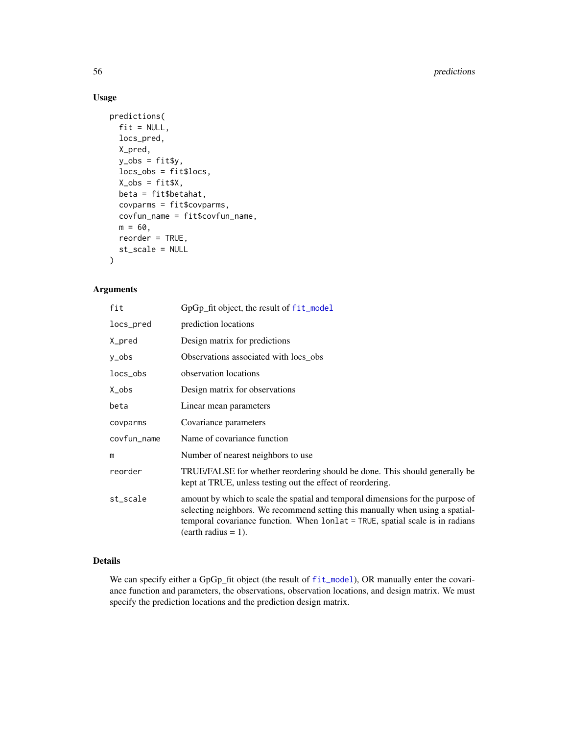```
predictions(
 fit = NULL,locs_pred,
 X_pred,
 y_obs = fitsy,locs_obs = fit$locs,
 X_obs = fitsX,beta = fit$betahat,
 covparms = fit$covparms,
 covfun_name = fit$covfun_name,
 m = 60,
 reorder = TRUE,
 st_scale = NULL
)
```
### Arguments

| fit         | GpGp_fit object, the result of fit_model                                                                                                                                                                                                                                   |
|-------------|----------------------------------------------------------------------------------------------------------------------------------------------------------------------------------------------------------------------------------------------------------------------------|
| locs_pred   | prediction locations                                                                                                                                                                                                                                                       |
| X_pred      | Design matrix for predictions                                                                                                                                                                                                                                              |
| y_obs       | Observations associated with locs_obs                                                                                                                                                                                                                                      |
| $locs_obs$  | observation locations                                                                                                                                                                                                                                                      |
| X_obs       | Design matrix for observations                                                                                                                                                                                                                                             |
| beta        | Linear mean parameters                                                                                                                                                                                                                                                     |
| covparms    | Covariance parameters                                                                                                                                                                                                                                                      |
| covfun_name | Name of covariance function                                                                                                                                                                                                                                                |
| m           | Number of nearest neighbors to use                                                                                                                                                                                                                                         |
| reorder     | TRUE/FALSE for whether reordering should be done. This should generally be<br>kept at TRUE, unless testing out the effect of reordering.                                                                                                                                   |
| st_scale    | amount by which to scale the spatial and temporal dimensions for the purpose of<br>selecting neighbors. We recommend setting this manually when using a spatial-<br>temporal covariance function. When lonlat = TRUE, spatial scale is in radians<br>$(earth radius = 1).$ |

### Details

We can specify either a GpGp\_fit object (the result of [fit\\_model](#page-19-1)), OR manually enter the covariance function and parameters, the observations, observation locations, and design matrix. We must specify the prediction locations and the prediction design matrix.

<span id="page-55-0"></span>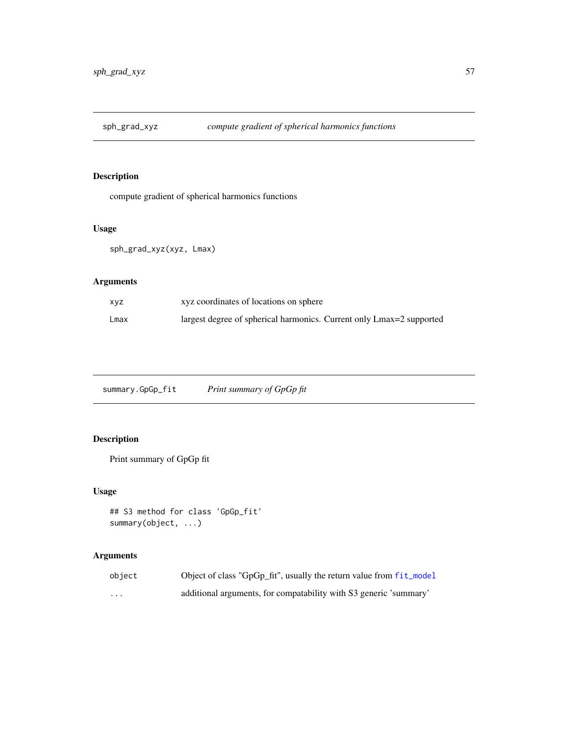<span id="page-56-0"></span>

### Description

compute gradient of spherical harmonics functions

### Usage

sph\_grad\_xyz(xyz, Lmax)

## Arguments

| xyz  | xyz coordinates of locations on sphere                               |
|------|----------------------------------------------------------------------|
| Lmax | largest degree of spherical harmonics. Current only Lmax=2 supported |

summary.GpGp\_fit *Print summary of GpGp fit*

## Description

Print summary of GpGp fit

### Usage

```
## S3 method for class 'GpGp_fit'
summary(object, ...)
```

| object | Object of class "GpGp_fit", usually the return value from fit_model |
|--------|---------------------------------------------------------------------|
| .      | additional arguments, for compatability with S3 generic 'summary'   |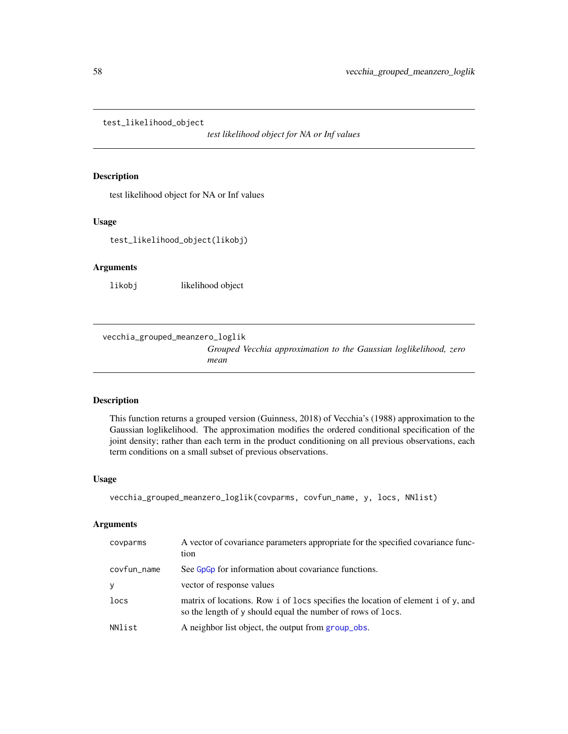<span id="page-57-0"></span>test\_likelihood\_object

*test likelihood object for NA or Inf values*

### Description

test likelihood object for NA or Inf values

### Usage

test\_likelihood\_object(likobj)

### Arguments

likobj likelihood object

vecchia\_grouped\_meanzero\_loglik

*Grouped Vecchia approximation to the Gaussian loglikelihood, zero mean*

### Description

This function returns a grouped version (Guinness, 2018) of Vecchia's (1988) approximation to the Gaussian loglikelihood. The approximation modifies the ordered conditional specification of the joint density; rather than each term in the product conditioning on all previous observations, each term conditions on a small subset of previous observations.

#### Usage

```
vecchia_grouped_meanzero_loglik(covparms, covfun_name, y, locs, NNlist)
```

| covparms    | A vector of covariance parameters appropriate for the specified covariance func-<br>tion                                                        |
|-------------|-------------------------------------------------------------------------------------------------------------------------------------------------|
| covfun_name | See G <sub>p</sub> G <sub>p</sub> for information about covariance functions.                                                                   |
| y           | vector of response values                                                                                                                       |
| locs        | matrix of locations. Row i of locs specifies the location of element i of y, and<br>so the length of y should equal the number of rows of locs. |
| NNlist      | A neighbor list object, the output from group obs.                                                                                              |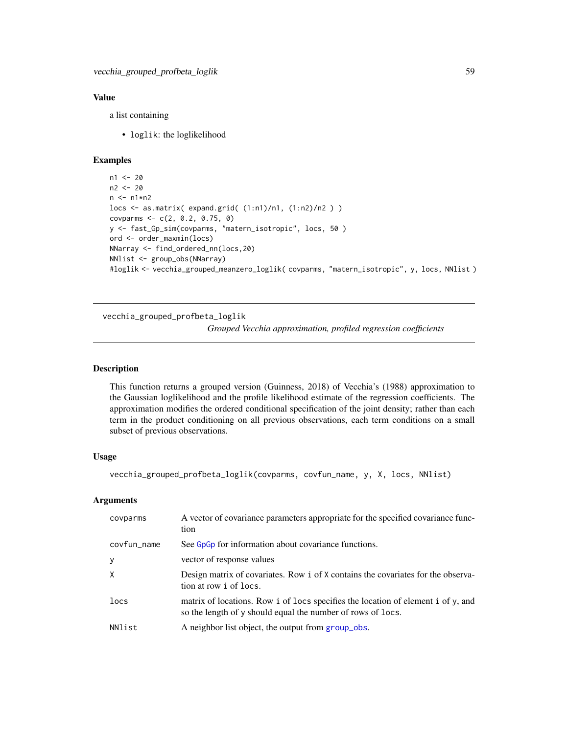### <span id="page-58-0"></span>Value

a list containing

• loglik: the loglikelihood

### Examples

```
n1 < -20n2 <- 20
n \leq -n1*n2locs <- as.matrix( expand.grid( (1:n1)/n1, (1:n2)/n2 ) )
covparms <- c(2, 0.2, 0.75, 0)
y <- fast_Gp_sim(covparms, "matern_isotropic", locs, 50 )
ord <- order_maxmin(locs)
NNarray <- find_ordered_nn(locs,20)
NNlist <- group_obs(NNarray)
#loglik <- vecchia_grouped_meanzero_loglik( covparms, "matern_isotropic", y, locs, NNlist )
```
vecchia\_grouped\_profbeta\_loglik

*Grouped Vecchia approximation, profiled regression coefficients*

#### Description

This function returns a grouped version (Guinness, 2018) of Vecchia's (1988) approximation to the Gaussian loglikelihood and the profile likelihood estimate of the regression coefficients. The approximation modifies the ordered conditional specification of the joint density; rather than each term in the product conditioning on all previous observations, each term conditions on a small subset of previous observations.

### Usage

vecchia\_grouped\_profbeta\_loglik(covparms, covfun\_name, y, X, locs, NNlist)

| covparms    | A vector of covariance parameters appropriate for the specified covariance func-<br>tion                                                        |
|-------------|-------------------------------------------------------------------------------------------------------------------------------------------------|
| covfun_name | See G <sub>p</sub> G <sub>p</sub> for information about covariance functions.                                                                   |
| У           | vector of response values                                                                                                                       |
| X           | Design matrix of covariates. Row i of X contains the covariates for the observa-<br>tion at row i of locs.                                      |
| locs        | matrix of locations. Row i of locs specifies the location of element i of y, and<br>so the length of y should equal the number of rows of locs. |
| NNlist      | A neighbor list object, the output from group_obs.                                                                                              |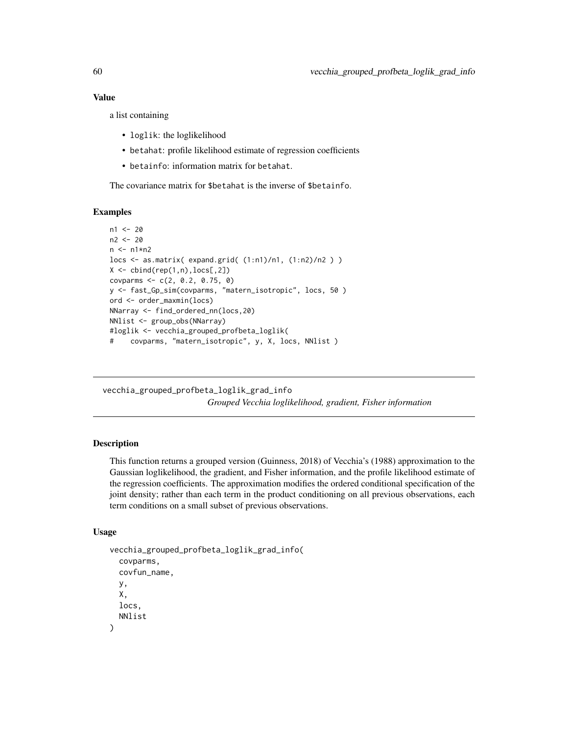a list containing

- loglik: the loglikelihood
- betahat: profile likelihood estimate of regression coefficients
- betainfo: information matrix for betahat.

The covariance matrix for \$betahat is the inverse of \$betainfo.

### Examples

```
n1 <- 20
n2 <- 20
n <- n1*n2
locs <- as.matrix( expand.grid( (1:n1)/n1, (1:n2)/n2 ) )
X \leftarrow \text{cbind}(\text{rep}(1, n), \text{locs[, 2])covparms <- c(2, 0.2, 0.75, 0)
y <- fast_Gp_sim(covparms, "matern_isotropic", locs, 50 )
ord <- order_maxmin(locs)
NNarray <- find_ordered_nn(locs,20)
NNlist <- group_obs(NNarray)
#loglik <- vecchia_grouped_profbeta_loglik(
# covparms, "matern_isotropic", y, X, locs, NNlist )
```
vecchia\_grouped\_profbeta\_loglik\_grad\_info *Grouped Vecchia loglikelihood, gradient, Fisher information*

### **Description**

This function returns a grouped version (Guinness, 2018) of Vecchia's (1988) approximation to the Gaussian loglikelihood, the gradient, and Fisher information, and the profile likelihood estimate of the regression coefficients. The approximation modifies the ordered conditional specification of the joint density; rather than each term in the product conditioning on all previous observations, each term conditions on a small subset of previous observations.

#### Usage

```
vecchia_grouped_profbeta_loglik_grad_info(
  covparms,
  covfun_name,
 y,
  X,
  locs,
 NNlist
)
```
<span id="page-59-0"></span>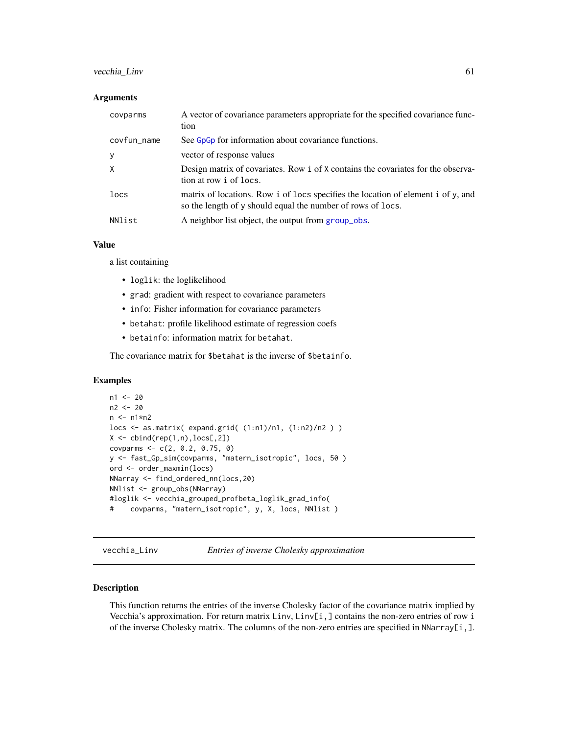### <span id="page-60-0"></span>vecchia\_Linv 61

#### **Arguments**

| covparms     | A vector of covariance parameters appropriate for the specified covariance func-<br>tion                                                        |
|--------------|-------------------------------------------------------------------------------------------------------------------------------------------------|
| covfun_name  | See G <sub>p</sub> G <sub>p</sub> for information about covariance functions.                                                                   |
| y            | vector of response values                                                                                                                       |
| $\mathsf{X}$ | Design matrix of covariates. Row i of X contains the covariates for the observa-<br>tion at row i of locs.                                      |
| locs         | matrix of locations. Row i of locs specifies the location of element i of y, and<br>so the length of y should equal the number of rows of locs. |
| NNlist       | A neighbor list object, the output from group_obs.                                                                                              |

### Value

a list containing

- loglik: the loglikelihood
- grad: gradient with respect to covariance parameters
- info: Fisher information for covariance parameters
- betahat: profile likelihood estimate of regression coefs
- betainfo: information matrix for betahat.

The covariance matrix for \$betahat is the inverse of \$betainfo.

#### Examples

```
n1 < -20n2 <- 20
n <- n1*n2
locs <- as.matrix( expand.grid( (1:n1)/n1, (1:n2)/n2 ) )
X \leftarrow \text{cbind}(\text{rep}(1,n),\text{locs[,2])covparms <- c(2, 0.2, 0.75, 0)
y <- fast_Gp_sim(covparms, "matern_isotropic", locs, 50 )
ord <- order_maxmin(locs)
NNarray <- find_ordered_nn(locs,20)
NNlist <- group_obs(NNarray)
#loglik <- vecchia_grouped_profbeta_loglik_grad_info(
# covparms, "matern_isotropic", y, X, locs, NNlist )
```
<span id="page-60-1"></span>vecchia\_Linv *Entries of inverse Cholesky approximation*

### Description

This function returns the entries of the inverse Cholesky factor of the covariance matrix implied by Vecchia's approximation. For return matrix  $\text{Linv}, \text{Linv}[i]$  contains the non-zero entries of row i of the inverse Cholesky matrix. The columns of the non-zero entries are specified in NNarray[i,].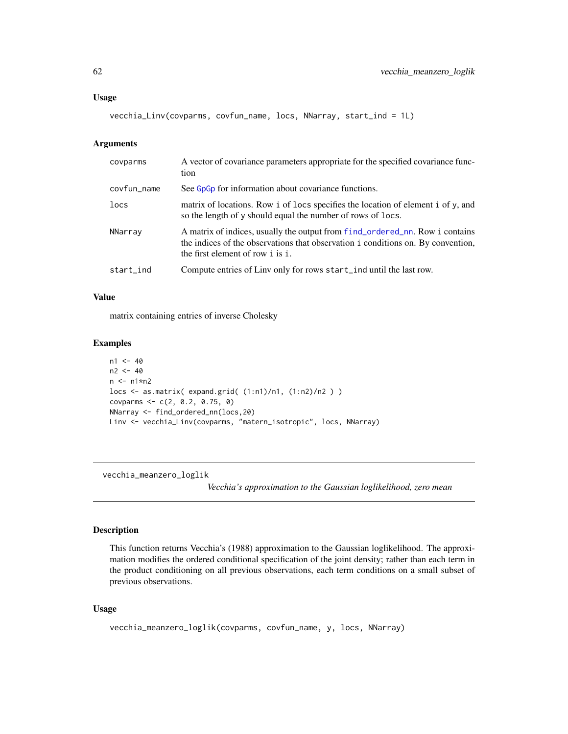<span id="page-61-0"></span>vecchia\_Linv(covparms, covfun\_name, locs, NNarray, start\_ind = 1L)

#### Arguments

| covparms    | A vector of covariance parameters appropriate for the specified covariance func-<br>tion                                                                                                             |
|-------------|------------------------------------------------------------------------------------------------------------------------------------------------------------------------------------------------------|
| covfun_name | See G <sub>p</sub> G <sub>p</sub> for information about covariance functions.                                                                                                                        |
| locs        | matrix of locations. Row i of locs specifies the location of element i of y, and<br>so the length of y should equal the number of rows of locs.                                                      |
| NNarray     | A matrix of indices, usually the output from find_ordered_nn. Row i contains<br>the indices of the observations that observation i conditions on. By convention,<br>the first element of row i is i. |
| start_ind   | Compute entries of Linv only for rows start_ind until the last row.                                                                                                                                  |

### Value

matrix containing entries of inverse Cholesky

### Examples

```
n1 < -40n2 < -40n \leq -n1*n2locs <- as.matrix( expand.grid( (1:n1)/n1, (1:n2)/n2 ) )
covparms <- c(2, 0.2, 0.75, 0)
NNarray <- find_ordered_nn(locs,20)
Linv <- vecchia_Linv(covparms, "matern_isotropic", locs, NNarray)
```
vecchia\_meanzero\_loglik

*Vecchia's approximation to the Gaussian loglikelihood, zero mean*

### Description

This function returns Vecchia's (1988) approximation to the Gaussian loglikelihood. The approximation modifies the ordered conditional specification of the joint density; rather than each term in the product conditioning on all previous observations, each term conditions on a small subset of previous observations.

#### Usage

```
vecchia_meanzero_loglik(covparms, covfun_name, y, locs, NNarray)
```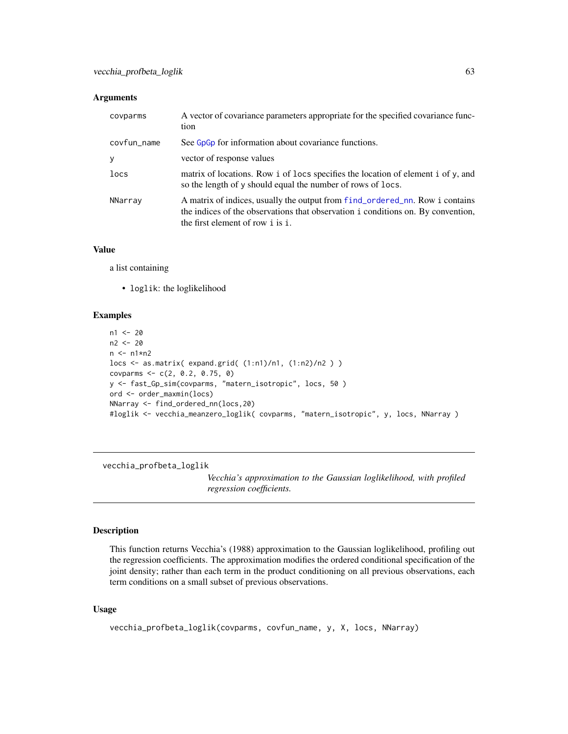#### <span id="page-62-0"></span>**Arguments**

| covparms    | A vector of covariance parameters appropriate for the specified covariance func-<br>tion                                                                                                              |
|-------------|-------------------------------------------------------------------------------------------------------------------------------------------------------------------------------------------------------|
| covfun_name | See G <sub>p</sub> G <sub>p</sub> for information about covariance functions.                                                                                                                         |
| у           | vector of response values                                                                                                                                                                             |
| locs        | matrix of locations. Row i of locs specifies the location of element i of y, and<br>so the length of y should equal the number of rows of locs.                                                       |
| NNarray     | A matrix of indices, usually the output from f ind_ordered_nn. Row i contains<br>the indices of the observations that observation i conditions on. By convention,<br>the first element of row i is i. |

### Value

a list containing

• loglik: the loglikelihood

#### Examples

```
n1 <- 20
n2 <- 20
n \leq -n1*n2locs <- as.matrix( expand.grid( (1:n1)/n1, (1:n2)/n2 ) )
covparms <- c(2, 0.2, 0.75, 0)
y <- fast_Gp_sim(covparms, "matern_isotropic", locs, 50 )
ord <- order_maxmin(locs)
NNarray <- find_ordered_nn(locs,20)
#loglik <- vecchia_meanzero_loglik( covparms, "matern_isotropic", y, locs, NNarray )
```
vecchia\_profbeta\_loglik

*Vecchia's approximation to the Gaussian loglikelihood, with profiled regression coefficients.*

#### Description

This function returns Vecchia's (1988) approximation to the Gaussian loglikelihood, profiling out the regression coefficients. The approximation modifies the ordered conditional specification of the joint density; rather than each term in the product conditioning on all previous observations, each term conditions on a small subset of previous observations.

### Usage

```
vecchia_profbeta_loglik(covparms, covfun_name, y, X, locs, NNarray)
```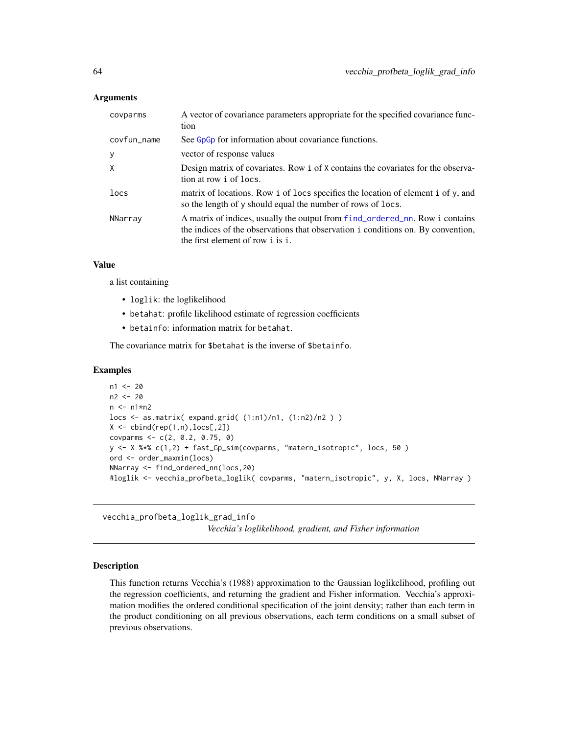#### <span id="page-63-0"></span>**Arguments**

| covparms    | A vector of covariance parameters appropriate for the specified covariance func-<br>tion                                                                                                             |
|-------------|------------------------------------------------------------------------------------------------------------------------------------------------------------------------------------------------------|
| covfun_name | See G <sub>p</sub> G <sub>p</sub> for information about covariance functions.                                                                                                                        |
| y           | vector of response values                                                                                                                                                                            |
| X           | Design matrix of covariates. Row i of X contains the covariates for the observa-<br>tion at row i of locs.                                                                                           |
| locs        | matrix of locations. Row i of locs specifies the location of element i of y, and<br>so the length of y should equal the number of rows of locs.                                                      |
| NNarray     | A matrix of indices, usually the output from find_ordered_nn. Row i contains<br>the indices of the observations that observation i conditions on. By convention,<br>the first element of row i is i. |

### Value

a list containing

- loglik: the loglikelihood
- betahat: profile likelihood estimate of regression coefficients
- betainfo: information matrix for betahat.

The covariance matrix for \$betahat is the inverse of \$betainfo.

### Examples

```
n1 < -20n2 < -20n <- n1*n2
locs <- as.matrix( expand.grid( (1:n1)/n1, (1:n2)/n2 ) )
X \leftarrow \text{cbind}(\text{rep}(1, n), \text{locs}[0, 2])covparms <- c(2, 0.2, 0.75, 0)
y <- X %*% c(1,2) + fast_Gp_sim(covparms, "matern_isotropic", locs, 50 )
ord <- order_maxmin(locs)
NNarray <- find_ordered_nn(locs,20)
#loglik <- vecchia_profbeta_loglik( covparms, "matern_isotropic", y, X, locs, NNarray )
```
vecchia\_profbeta\_loglik\_grad\_info *Vecchia's loglikelihood, gradient, and Fisher information*

### Description

This function returns Vecchia's (1988) approximation to the Gaussian loglikelihood, profiling out the regression coefficients, and returning the gradient and Fisher information. Vecchia's approximation modifies the ordered conditional specification of the joint density; rather than each term in the product conditioning on all previous observations, each term conditions on a small subset of previous observations.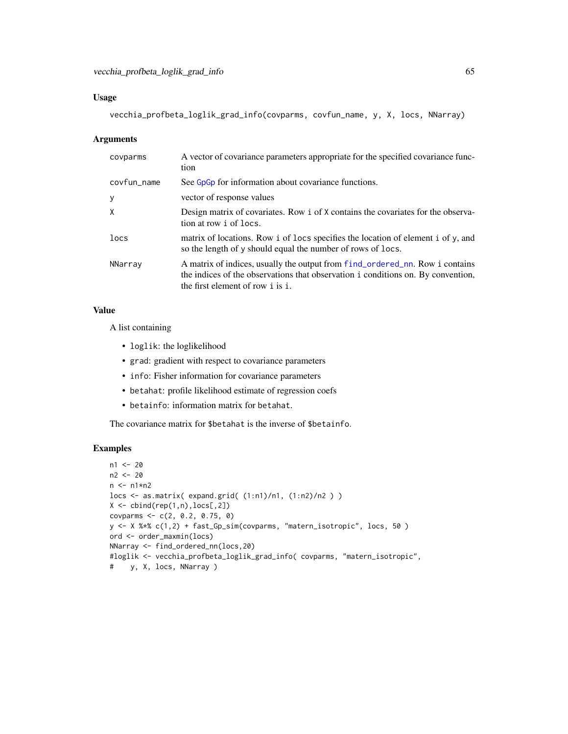```
vecchia_profbeta_loglik_grad_info(covparms, covfun_name, y, X, locs, NNarray)
```
#### Arguments

| covparms    | A vector of covariance parameters appropriate for the specified covariance func-<br>tion                                                                                                             |
|-------------|------------------------------------------------------------------------------------------------------------------------------------------------------------------------------------------------------|
| covfun_name | See GpGp for information about covariance functions.                                                                                                                                                 |
| y           | vector of response values                                                                                                                                                                            |
| X           | Design matrix of covariates. Row i of X contains the covariates for the observa-<br>tion at row i of locs.                                                                                           |
| locs        | matrix of locations. Row i of locs specifies the location of element i of y, and<br>so the length of y should equal the number of rows of locs.                                                      |
| NNarray     | A matrix of indices, usually the output from find_ordered_nn. Row i contains<br>the indices of the observations that observation i conditions on. By convention,<br>the first element of row i is i. |

### Value

A list containing

- loglik: the loglikelihood
- grad: gradient with respect to covariance parameters
- info: Fisher information for covariance parameters
- betahat: profile likelihood estimate of regression coefs
- betainfo: information matrix for betahat.

The covariance matrix for \$betahat is the inverse of \$betainfo.

### Examples

```
n1 <- 20
n2 <- 20
n <- n1*n2
locs <- as.matrix( expand.grid( (1:n1)/n1, (1:n2)/n2 ) )
X \leftarrow \text{cbind}(\text{rep}(1, n), \text{locs[, 2])covparms <- c(2, 0.2, 0.75, 0)
y <- X %*% c(1,2) + fast_Gp_sim(covparms, "matern_isotropic", locs, 50 )
ord <- order_maxmin(locs)
NNarray <- find_ordered_nn(locs,20)
#loglik <- vecchia_profbeta_loglik_grad_info( covparms, "matern_isotropic",
# y, X, locs, NNarray )
```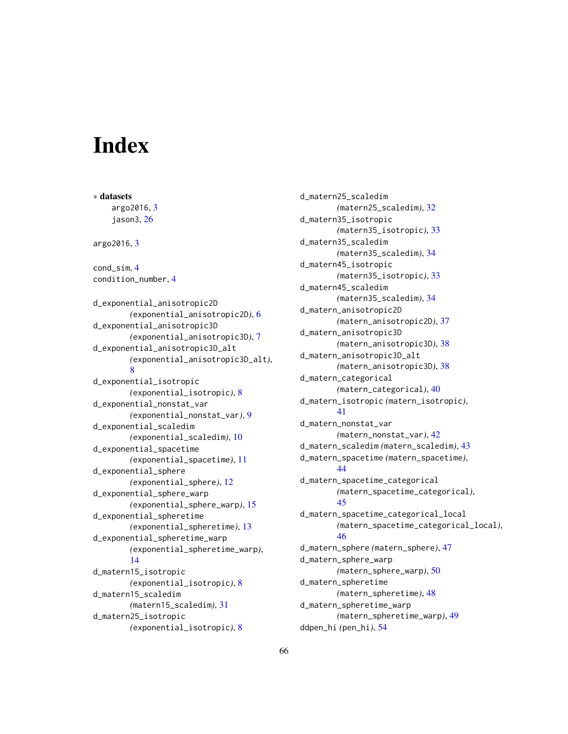# <span id="page-65-0"></span>**Index**

∗ datasets argo2016, [3](#page-2-0) jason3, [26](#page-25-0) argo2016, [3](#page-2-0) cond\_sim, [4](#page-3-0) condition\_number, [4](#page-3-0) d\_exponential\_anisotropic2D *(*exponential\_anisotropic2D*)*, [6](#page-5-0) d\_exponential\_anisotropic3D *(*exponential\_anisotropic3D*)*, [7](#page-6-0) d\_exponential\_anisotropic3D\_alt *(*exponential\_anisotropic3D\_alt*)*, [8](#page-7-0) d\_exponential\_isotropic *(*exponential\_isotropic*)*, [8](#page-7-0) d\_exponential\_nonstat\_var *(*exponential\_nonstat\_var*)*, [9](#page-8-0) d\_exponential\_scaledim *(*exponential\_scaledim*)*, [10](#page-9-0) d\_exponential\_spacetime *(*exponential\_spacetime*)*, [11](#page-10-0) d\_exponential\_sphere *(*exponential\_sphere*)*, [12](#page-11-0) d\_exponential\_sphere\_warp *(*exponential\_sphere\_warp*)*, [15](#page-14-0) d\_exponential\_spheretime *(*exponential\_spheretime*)*, [13](#page-12-0) d\_exponential\_spheretime\_warp *(*exponential\_spheretime\_warp*)*, [14](#page-13-0) d\_matern15\_isotropic *(*exponential\_isotropic*)*, [8](#page-7-0) d\_matern15\_scaledim *(*matern15\_scaledim*)*, [31](#page-30-0) d\_matern25\_isotropic *(*exponential\_isotropic*)*, [8](#page-7-0)

d\_matern25\_scaledim *(*matern25\_scaledim*)*, [32](#page-31-0) d\_matern35\_isotropic *(*matern35\_isotropic*)*, [33](#page-32-0) d\_matern35\_scaledim *(*matern35\_scaledim*)*, [34](#page-33-0) d\_matern45\_isotropic *(*matern35\_isotropic*)*, [33](#page-32-0) d\_matern45\_scaledim *(*matern35\_scaledim*)*, [34](#page-33-0) d\_matern\_anisotropic2D *(*matern\_anisotropic2D*)*, [37](#page-36-0) d\_matern\_anisotropic3D *(*matern\_anisotropic3D*)*, [38](#page-37-0) d\_matern\_anisotropic3D\_alt *(*matern\_anisotropic3D*)*, [38](#page-37-0) d\_matern\_categorical *(*matern\_categorical*)*, [40](#page-39-0) d\_matern\_isotropic *(*matern\_isotropic*)*, [41](#page-40-0) d\_matern\_nonstat\_var *(*matern\_nonstat\_var*)*, [42](#page-41-0) d\_matern\_scaledim *(*matern\_scaledim*)*, [43](#page-42-0) d\_matern\_spacetime *(*matern\_spacetime*)*, [44](#page-43-0) d\_matern\_spacetime\_categorical *(*matern\_spacetime\_categorical*)*, [45](#page-44-0) d\_matern\_spacetime\_categorical\_local *(*matern\_spacetime\_categorical\_local*)*, [46](#page-45-0) d\_matern\_sphere *(*matern\_sphere*)*, [47](#page-46-0) d\_matern\_sphere\_warp *(*matern\_sphere\_warp*)*, [50](#page-49-0) d\_matern\_spheretime *(*matern\_spheretime*)*, [48](#page-47-0) d\_matern\_spheretime\_warp *(*matern\_spheretime\_warp*)*, [49](#page-48-0) ddpen\_hi *(*pen\_hi*)*, [54](#page-53-0)